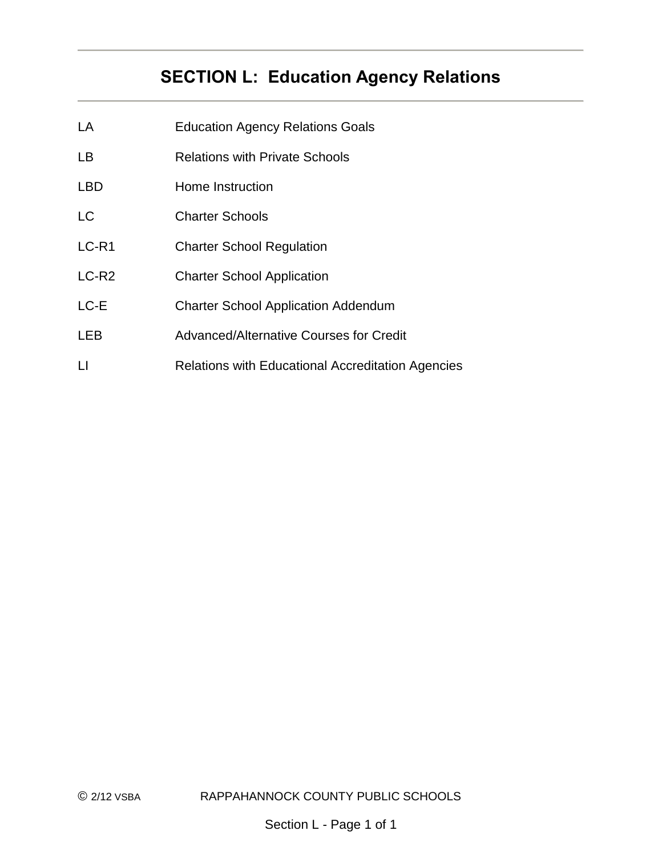# **SECTION L: Education Agency Relations**

- LA Education Agency Relations Goals
- LB Relations with Private Schools
- LBD Home Instruction
- LC Charter Schools
- LC-R1 Charter School Regulation
- LC-R2 Charter School Application
- LC-E Charter School Application Addendum
- LEB Advanced/Alternative Courses for Credit
- LI Relations with Educational Accreditation Agencies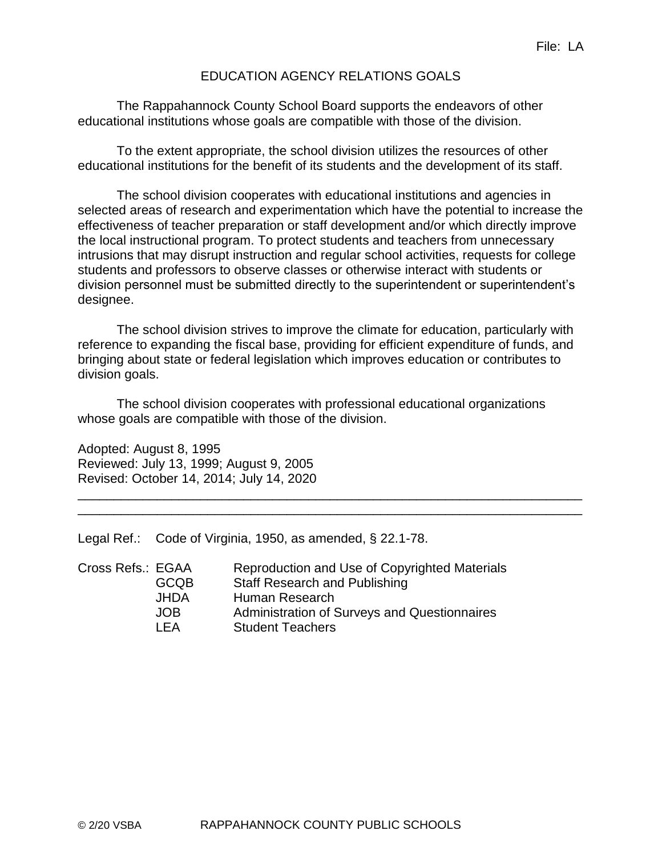### EDUCATION AGENCY RELATIONS GOALS

The Rappahannock County School Board supports the endeavors of other educational institutions whose goals are compatible with those of the division.

To the extent appropriate, the school division utilizes the resources of other educational institutions for the benefit of its students and the development of its staff.

The school division cooperates with educational institutions and agencies in selected areas of research and experimentation which have the potential to increase the effectiveness of teacher preparation or staff development and/or which directly improve the local instructional program. To protect students and teachers from unnecessary intrusions that may disrupt instruction and regular school activities, requests for college students and professors to observe classes or otherwise interact with students or division personnel must be submitted directly to the superintendent or superintendent's designee.

The school division strives to improve the climate for education, particularly with reference to expanding the fiscal base, providing for efficient expenditure of funds, and bringing about state or federal legislation which improves education or contributes to division goals.

\_\_\_\_\_\_\_\_\_\_\_\_\_\_\_\_\_\_\_\_\_\_\_\_\_\_\_\_\_\_\_\_\_\_\_\_\_\_\_\_\_\_\_\_\_\_\_\_\_\_\_\_\_\_\_\_\_\_\_\_\_\_\_\_\_\_\_\_\_\_ \_\_\_\_\_\_\_\_\_\_\_\_\_\_\_\_\_\_\_\_\_\_\_\_\_\_\_\_\_\_\_\_\_\_\_\_\_\_\_\_\_\_\_\_\_\_\_\_\_\_\_\_\_\_\_\_\_\_\_\_\_\_\_\_\_\_\_\_\_\_

The school division cooperates with professional educational organizations whose goals are compatible with those of the division.

Adopted: August 8, 1995 Reviewed: July 13, 1999; August 9, 2005 Revised: October 14, 2014; July 14, 2020

Legal Ref.: Code of Virginia, 1950, as amended, § 22.1-78.

| Cross Refs.: EGAA |             | Reproduction and Use of Copyrighted Materials |
|-------------------|-------------|-----------------------------------------------|
|                   | <b>GCQB</b> | <b>Staff Research and Publishing</b>          |
|                   | <b>JHDA</b> | Human Research                                |
|                   | JOB.        | Administration of Surveys and Questionnaires  |
|                   | I FA        | <b>Student Teachers</b>                       |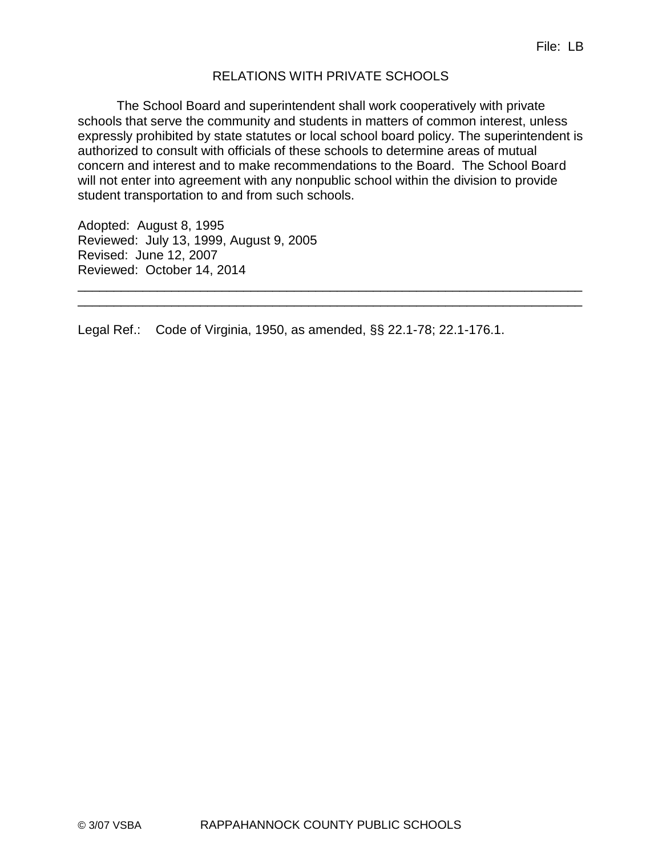### RELATIONS WITH PRIVATE SCHOOLS

The School Board and superintendent shall work cooperatively with private schools that serve the community and students in matters of common interest, unless expressly prohibited by state statutes or local school board policy. The superintendent is authorized to consult with officials of these schools to determine areas of mutual concern and interest and to make recommendations to the Board. The School Board will not enter into agreement with any nonpublic school within the division to provide student transportation to and from such schools.

\_\_\_\_\_\_\_\_\_\_\_\_\_\_\_\_\_\_\_\_\_\_\_\_\_\_\_\_\_\_\_\_\_\_\_\_\_\_\_\_\_\_\_\_\_\_\_\_\_\_\_\_\_\_\_\_\_\_\_\_\_\_\_\_\_\_\_\_\_\_ \_\_\_\_\_\_\_\_\_\_\_\_\_\_\_\_\_\_\_\_\_\_\_\_\_\_\_\_\_\_\_\_\_\_\_\_\_\_\_\_\_\_\_\_\_\_\_\_\_\_\_\_\_\_\_\_\_\_\_\_\_\_\_\_\_\_\_\_\_\_

Adopted: August 8, 1995 Reviewed: July 13, 1999, August 9, 2005 Revised: June 12, 2007 Reviewed: October 14, 2014

Legal Ref.: Code of Virginia, 1950, as amended, §§ 22.1-78; 22.1-176.1.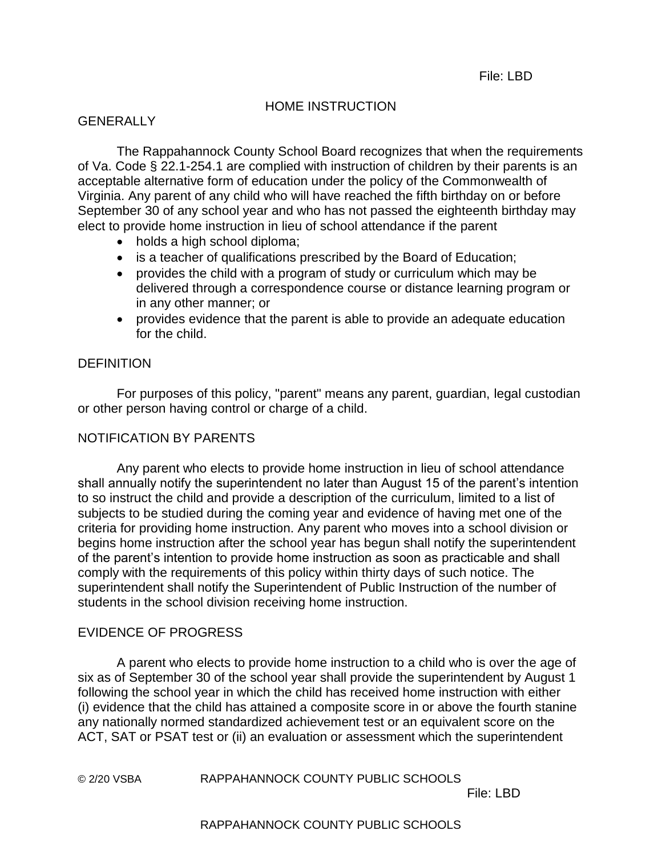### HOME INSTRUCTION

### GENERALLY

The Rappahannock County School Board recognizes that when the requirements of Va. Code § 22.1-254.1 are complied with instruction of children by their parents is an acceptable alternative form of education under the policy of the Commonwealth of Virginia. Any parent of any child who will have reached the fifth birthday on or before September 30 of any school year and who has not passed the eighteenth birthday may elect to provide home instruction in lieu of school attendance if the parent

- holds a high school diploma;
- is a teacher of qualifications prescribed by the Board of Education;
- provides the child with a program of study or curriculum which may be delivered through a correspondence course or distance learning program or in any other manner; or
- provides evidence that the parent is able to provide an adequate education for the child.

### **DEFINITION**

For purposes of this policy, "parent" means any parent, guardian, legal custodian or other person having control or charge of a child.

### NOTIFICATION BY PARENTS

Any parent who elects to provide home instruction in lieu of school attendance shall annually notify the superintendent no later than August 15 of the parent's intention to so instruct the child and provide a description of the curriculum, limited to a list of subjects to be studied during the coming year and evidence of having met one of the criteria for providing home instruction. Any parent who moves into a school division or begins home instruction after the school year has begun shall notify the superintendent of the parent's intention to provide home instruction as soon as practicable and shall comply with the requirements of this policy within thirty days of such notice. The superintendent shall notify the Superintendent of Public Instruction of the number of students in the school division receiving home instruction.

### EVIDENCE OF PROGRESS

A parent who elects to provide home instruction to a child who is over the age of six as of September 30 of the school year shall provide the superintendent by August 1 following the school year in which the child has received home instruction with either (i) evidence that the child has attained a composite score in or above the fourth stanine any nationally normed standardized achievement test or an equivalent score on the ACT, SAT or PSAT test or (ii) an evaluation or assessment which the superintendent

© 2/20 VSBA RAPPAHANNOCK COUNTY PUBLIC SCHOOLS

File: LBD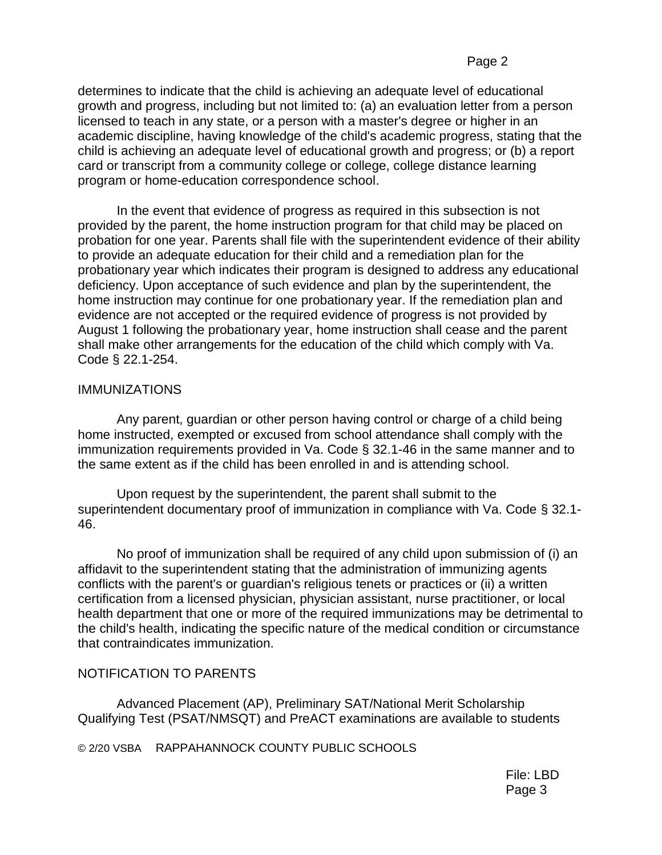determines to indicate that the child is achieving an adequate level of educational growth and progress, including but not limited to: (a) an evaluation letter from a person licensed to teach in any state, or a person with a master's degree or higher in an academic discipline, having knowledge of the child's academic progress, stating that the child is achieving an adequate level of educational growth and progress; or (b) a report card or transcript from a community college or college, college distance learning program or home-education correspondence school.

In the event that evidence of progress as required in this subsection is not provided by the parent, the home instruction program for that child may be placed on probation for one year. Parents shall file with the superintendent evidence of their ability to provide an adequate education for their child and a remediation plan for the probationary year which indicates their program is designed to address any educational deficiency. Upon acceptance of such evidence and plan by the superintendent, the home instruction may continue for one probationary year. If the remediation plan and evidence are not accepted or the required evidence of progress is not provided by August 1 following the probationary year, home instruction shall cease and the parent shall make other arrangements for the education of the child which comply with Va. Code § 22.1-254.

### IMMUNIZATIONS

Any parent, guardian or other person having control or charge of a child being home instructed, exempted or excused from school attendance shall comply with the immunization requirements provided in Va. Code § 32.1-46 in the same manner and to the same extent as if the child has been enrolled in and is attending school.

Upon request by the superintendent, the parent shall submit to the superintendent documentary proof of immunization in compliance with Va. Code § 32.1- 46.

No proof of immunization shall be required of any child upon submission of (i) an affidavit to the superintendent stating that the administration of immunizing agents conflicts with the parent's or guardian's religious tenets or practices or (ii) a written certification from a licensed physician, physician assistant, nurse practitioner, or local health department that one or more of the required immunizations may be detrimental to the child's health, indicating the specific nature of the medical condition or circumstance that contraindicates immunization.

## NOTIFICATION TO PARENTS

Advanced Placement (AP), Preliminary SAT/National Merit Scholarship Qualifying Test (PSAT/NMSQT) and PreACT examinations are available to students

© 2/20 VSBA RAPPAHANNOCK COUNTY PUBLIC SCHOOLS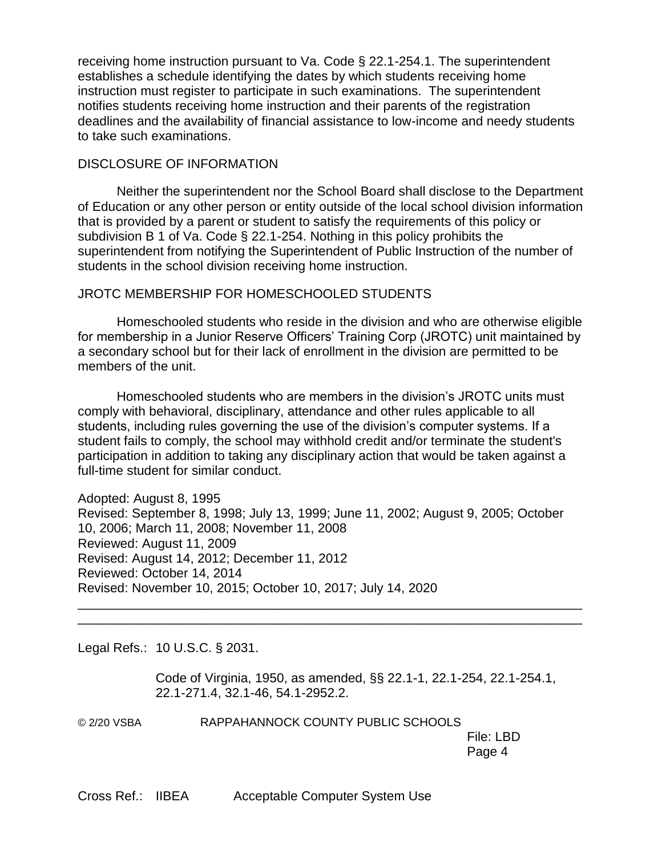receiving home instruction pursuant to Va. Code § 22.1-254.1. The superintendent establishes a schedule identifying the dates by which students receiving home instruction must register to participate in such examinations. The superintendent notifies students receiving home instruction and their parents of the registration deadlines and the availability of financial assistance to low-income and needy students to take such examinations.

### DISCLOSURE OF INFORMATION

Neither the superintendent nor the School Board shall disclose to the Department of Education or any other person or entity outside of the local school division information that is provided by a parent or student to satisfy the requirements of this policy or subdivision B 1 of Va. Code § 22.1-254. Nothing in this policy prohibits the superintendent from notifying the Superintendent of Public Instruction of the number of students in the school division receiving home instruction.

### JROTC MEMBERSHIP FOR HOMESCHOOLED STUDENTS

Homeschooled students who reside in the division and who are otherwise eligible for membership in a Junior Reserve Officers' Training Corp (JROTC) unit maintained by a secondary school but for their lack of enrollment in the division are permitted to be members of the unit.

Homeschooled students who are members in the division's JROTC units must comply with behavioral, disciplinary, attendance and other rules applicable to all students, including rules governing the use of the division's computer systems. If a student fails to comply, the school may withhold credit and/or terminate the student's participation in addition to taking any disciplinary action that would be taken against a full-time student for similar conduct.

Adopted: August 8, 1995 Revised: September 8, 1998; July 13, 1999; June 11, 2002; August 9, 2005; October 10, 2006; March 11, 2008; November 11, 2008 Reviewed: August 11, 2009 Revised: August 14, 2012; December 11, 2012 Reviewed: October 14, 2014 Revised: November 10, 2015; October 10, 2017; July 14, 2020

\_\_\_\_\_\_\_\_\_\_\_\_\_\_\_\_\_\_\_\_\_\_\_\_\_\_\_\_\_\_\_\_\_\_\_\_\_\_\_\_\_\_\_\_\_\_\_\_\_\_\_\_\_\_\_\_\_\_\_\_\_\_\_\_\_\_\_\_\_\_ \_\_\_\_\_\_\_\_\_\_\_\_\_\_\_\_\_\_\_\_\_\_\_\_\_\_\_\_\_\_\_\_\_\_\_\_\_\_\_\_\_\_\_\_\_\_\_\_\_\_\_\_\_\_\_\_\_\_\_\_\_\_\_\_\_\_\_\_\_\_

Legal Refs.: 10 U.S.C. § 2031.

Code of Virginia, 1950, as amended, §§ 22.1-1, 22.1-254, 22.1-254.1, 22.1-271.4, 32.1-46, 54.1-2952.2.

© 2/20 VSBA RAPPAHANNOCK COUNTY PUBLIC SCHOOLS

File: LBD Page 4

Cross Ref.: IIBEA Acceptable Computer System Use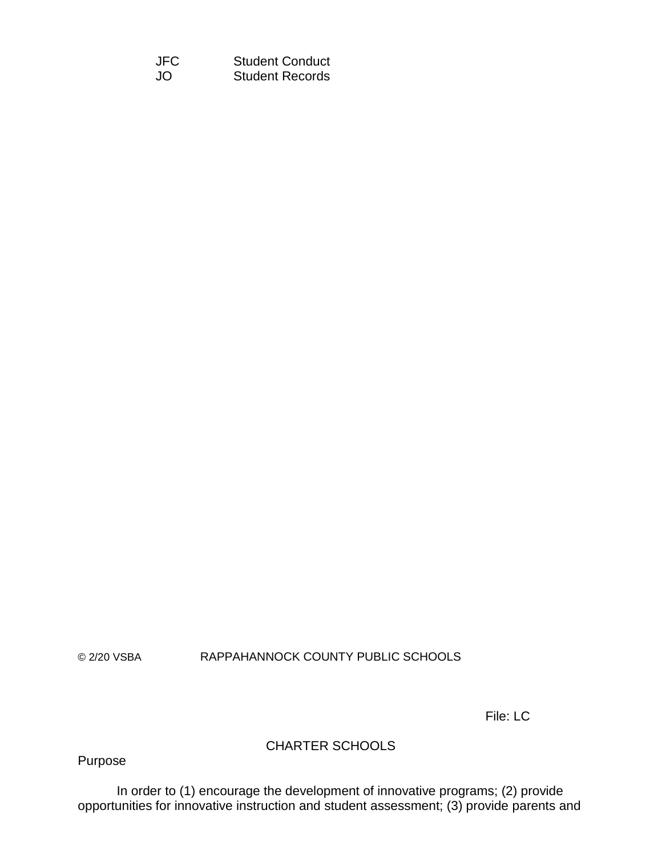JFC Student Conduct JO Student Records

© 2/20 VSBA RAPPAHANNOCK COUNTY PUBLIC SCHOOLS

File: LC

## CHARTER SCHOOLS

Purpose

In order to (1) encourage the development of innovative programs; (2) provide opportunities for innovative instruction and student assessment; (3) provide parents and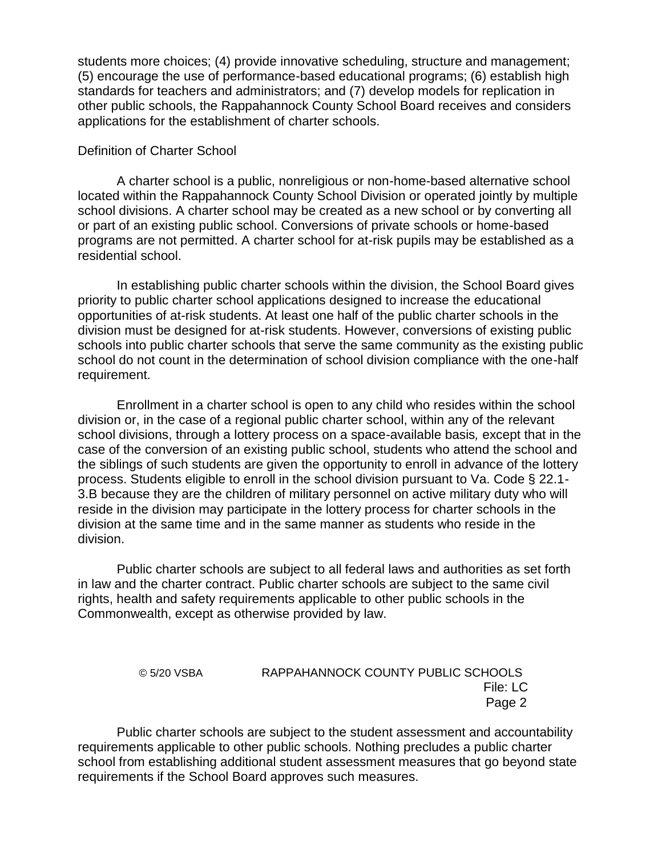students more choices; (4) provide innovative scheduling, structure and management; (5) encourage the use of performance-based educational programs; (6) establish high standards for teachers and administrators; and (7) develop models for replication in other public schools, the Rappahannock County School Board receives and considers applications for the establishment of charter schools.

### Definition of Charter School

A charter school is a public, nonreligious or non-home-based alternative school located within the Rappahannock County School Division or operated jointly by multiple school divisions. A charter school may be created as a new school or by converting all or part of an existing public school. Conversions of private schools or home-based programs are not permitted. A charter school for at-risk pupils may be established as a residential school.

In establishing public charter schools within the division, the School Board gives priority to public charter school applications designed to increase the educational opportunities of at-risk students. At least one half of the public charter schools in the division must be designed for at-risk students. However, conversions of existing public schools into public charter schools that serve the same community as the existing public school do not count in the determination of school division compliance with the one-half requirement.

Enrollment in a charter school is open to any child who resides within the school division or, in the case of a regional public charter school, within any of the relevant school divisions, through a lottery process on a space-available basis*,* except that in the case of the conversion of an existing public school, students who attend the school and the siblings of such students are given the opportunity to enroll in advance of the lottery process. Students eligible to enroll in the school division pursuant to Va. Code § 22.1- 3.B because they are the children of military personnel on active military duty who will reside in the division may participate in the lottery process for charter schools in the division at the same time and in the same manner as students who reside in the division.

Public charter schools are subject to all federal laws and authorities as set forth in law and the charter contract. Public charter schools are subject to the same civil rights, health and safety requirements applicable to other public schools in the Commonwealth, except as otherwise provided by law.

## © 5/20 VSBA RAPPAHANNOCK COUNTY PUBLIC SCHOOLS File: LC Page 2

Public charter schools are subject to the student assessment and accountability requirements applicable to other public schools. Nothing precludes a public charter school from establishing additional student assessment measures that go beyond state requirements if the School Board approves such measures.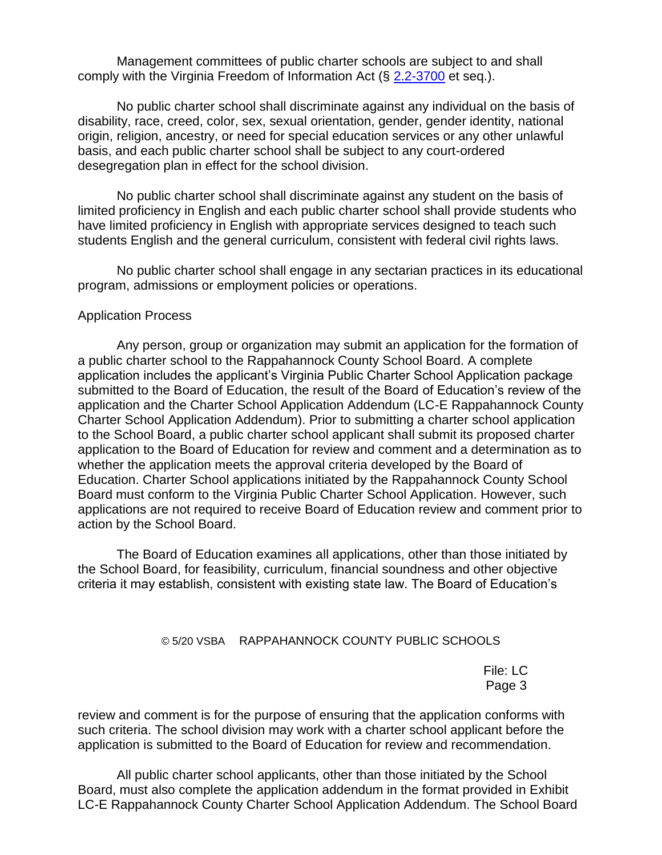Management committees of public charter schools are subject to and shall comply with the Virginia Freedom of Information Act (§ [2.2-3700](http://law.lis.virginia.gov/vacode/2.2-3700) et seq.).

No public charter school shall discriminate against any individual on the basis of disability, race, creed, color, sex, sexual orientation, gender, gender identity, national origin, religion, ancestry, or need for special education services or any other unlawful basis, and each public charter school shall be subject to any court-ordered desegregation plan in effect for the school division.

No public charter school shall discriminate against any student on the basis of limited proficiency in English and each public charter school shall provide students who have limited proficiency in English with appropriate services designed to teach such students English and the general curriculum, consistent with federal civil rights laws.

No public charter school shall engage in any sectarian practices in its educational program, admissions or employment policies or operations.

#### Application Process

Any person, group or organization may submit an application for the formation of a public charter school to the Rappahannock County School Board. A complete application includes the applicant's Virginia Public Charter School Application package submitted to the Board of Education, the result of the Board of Education's review of the application and the Charter School Application Addendum (LC-E Rappahannock County Charter School Application Addendum). Prior to submitting a charter school application to the School Board, a public charter school applicant shall submit its proposed charter application to the Board of Education for review and comment and a determination as to whether the application meets the approval criteria developed by the Board of Education. Charter School applications initiated by the Rappahannock County School Board must conform to the Virginia Public Charter School Application. However, such applications are not required to receive Board of Education review and comment prior to action by the School Board.

The Board of Education examines all applications, other than those initiated by the School Board, for feasibility, curriculum, financial soundness and other objective criteria it may establish, consistent with existing state law. The Board of Education's

### © 5/20 VSBA RAPPAHANNOCK COUNTY PUBLIC SCHOOLS

File: LC Page 3

review and comment is for the purpose of ensuring that the application conforms with such criteria. The school division may work with a charter school applicant before the application is submitted to the Board of Education for review and recommendation.

All public charter school applicants, other than those initiated by the School Board, must also complete the application addendum in the format provided in Exhibit LC-E Rappahannock County Charter School Application Addendum. The School Board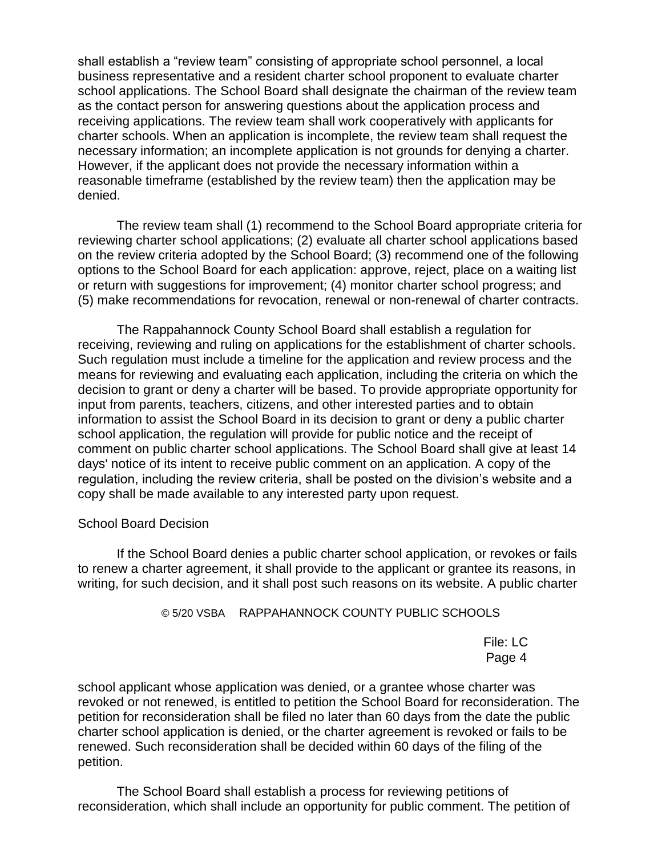shall establish a "review team" consisting of appropriate school personnel, a local business representative and a resident charter school proponent to evaluate charter school applications. The School Board shall designate the chairman of the review team as the contact person for answering questions about the application process and receiving applications. The review team shall work cooperatively with applicants for charter schools. When an application is incomplete, the review team shall request the necessary information; an incomplete application is not grounds for denying a charter. However, if the applicant does not provide the necessary information within a reasonable timeframe (established by the review team) then the application may be denied.

The review team shall (1) recommend to the School Board appropriate criteria for reviewing charter school applications; (2) evaluate all charter school applications based on the review criteria adopted by the School Board; (3) recommend one of the following options to the School Board for each application: approve, reject, place on a waiting list or return with suggestions for improvement; (4) monitor charter school progress; and (5) make recommendations for revocation, renewal or non-renewal of charter contracts.

The Rappahannock County School Board shall establish a regulation for receiving, reviewing and ruling on applications for the establishment of charter schools. Such regulation must include a timeline for the application and review process and the means for reviewing and evaluating each application, including the criteria on which the decision to grant or deny a charter will be based. To provide appropriate opportunity for input from parents, teachers, citizens, and other interested parties and to obtain information to assist the School Board in its decision to grant or deny a public charter school application, the regulation will provide for public notice and the receipt of comment on public charter school applications. The School Board shall give at least 14 days' notice of its intent to receive public comment on an application. A copy of the regulation, including the review criteria, shall be posted on the division's website and a copy shall be made available to any interested party upon request.

#### School Board Decision

If the School Board denies a public charter school application, or revokes or fails to renew a charter agreement, it shall provide to the applicant or grantee its reasons, in writing, for such decision, and it shall post such reasons on its website. A public charter

### © 5/20 VSBA RAPPAHANNOCK COUNTY PUBLIC SCHOOLS

File: LC Page 4

school applicant whose application was denied, or a grantee whose charter was revoked or not renewed, is entitled to petition the School Board for reconsideration. The petition for reconsideration shall be filed no later than 60 days from the date the public charter school application is denied, or the charter agreement is revoked or fails to be renewed. Such reconsideration shall be decided within 60 days of the filing of the petition.

The School Board shall establish a process for reviewing petitions of reconsideration, which shall include an opportunity for public comment. The petition of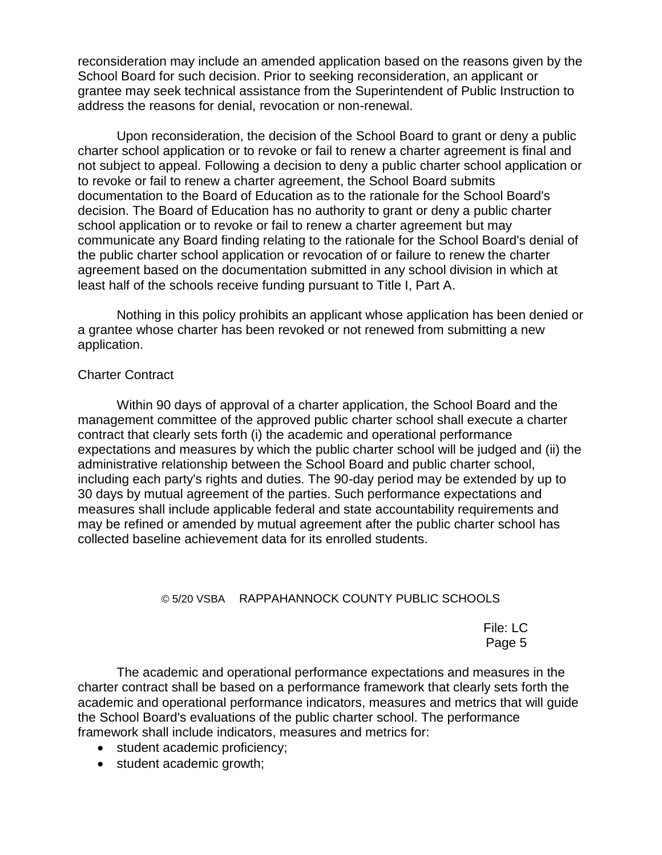reconsideration may include an amended application based on the reasons given by the School Board for such decision. Prior to seeking reconsideration, an applicant or grantee may seek technical assistance from the Superintendent of Public Instruction to address the reasons for denial, revocation or non-renewal.

Upon reconsideration, the decision of the School Board to grant or deny a public charter school application or to revoke or fail to renew a charter agreement is final and not subject to appeal. Following a decision to deny a public charter school application or to revoke or fail to renew a charter agreement, the School Board submits documentation to the Board of Education as to the rationale for the School Board's decision. The Board of Education has no authority to grant or deny a public charter school application or to revoke or fail to renew a charter agreement but may communicate any Board finding relating to the rationale for the School Board's denial of the public charter school application or revocation of or failure to renew the charter agreement based on the documentation submitted in any school division in which at least half of the schools receive funding pursuant to Title I, Part A.

Nothing in this policy prohibits an applicant whose application has been denied or a grantee whose charter has been revoked or not renewed from submitting a new application.

### Charter Contract

Within 90 days of approval of a charter application, the School Board and the management committee of the approved public charter school shall execute a charter contract that clearly sets forth (i) the academic and operational performance expectations and measures by which the public charter school will be judged and (ii) the administrative relationship between the School Board and public charter school, including each party's rights and duties. The 90-day period may be extended by up to 30 days by mutual agreement of the parties. Such performance expectations and measures shall include applicable federal and state accountability requirements and may be refined or amended by mutual agreement after the public charter school has collected baseline achievement data for its enrolled students.

### © 5/20 VSBA RAPPAHANNOCK COUNTY PUBLIC SCHOOLS

File: LC Page 5

The academic and operational performance expectations and measures in the charter contract shall be based on a performance framework that clearly sets forth the academic and operational performance indicators, measures and metrics that will guide the School Board's evaluations of the public charter school. The performance framework shall include indicators, measures and metrics for:

- student academic proficiency;
- student academic growth;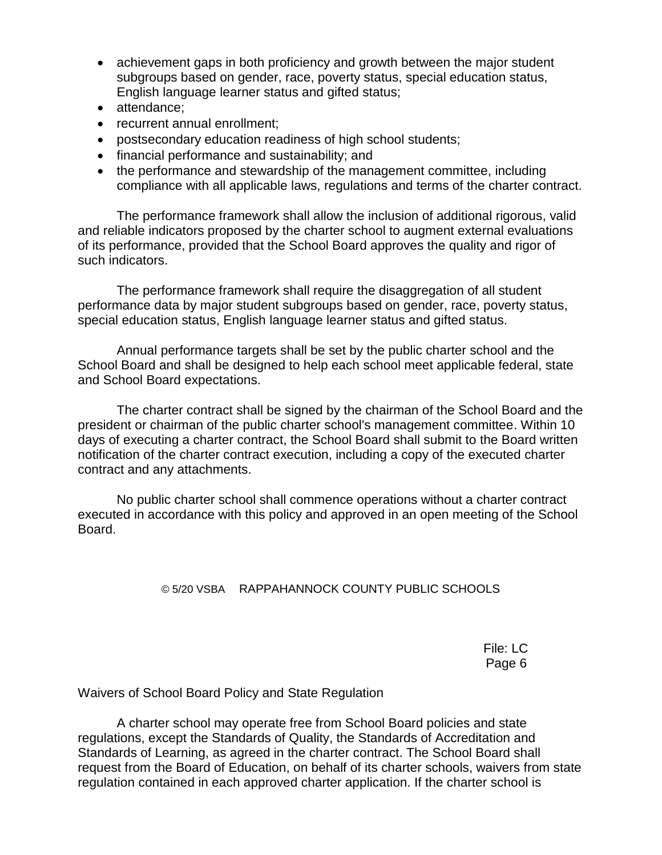- achievement gaps in both proficiency and growth between the major student subgroups based on gender, race, poverty status, special education status, English language learner status and gifted status;
- attendance;
- recurrent annual enrollment;
- postsecondary education readiness of high school students;
- financial performance and sustainability; and
- the performance and stewardship of the management committee, including compliance with all applicable laws, regulations and terms of the charter contract.

The performance framework shall allow the inclusion of additional rigorous, valid and reliable indicators proposed by the charter school to augment external evaluations of its performance, provided that the School Board approves the quality and rigor of such indicators.

The performance framework shall require the disaggregation of all student performance data by major student subgroups based on gender, race, poverty status, special education status, English language learner status and gifted status.

Annual performance targets shall be set by the public charter school and the School Board and shall be designed to help each school meet applicable federal, state and School Board expectations.

The charter contract shall be signed by the chairman of the School Board and the president or chairman of the public charter school's management committee. Within 10 days of executing a charter contract, the School Board shall submit to the Board written notification of the charter contract execution, including a copy of the executed charter contract and any attachments.

No public charter school shall commence operations without a charter contract executed in accordance with this policy and approved in an open meeting of the School Board.

### © 5/20 VSBA RAPPAHANNOCK COUNTY PUBLIC SCHOOLS

File: LC Page 6

Waivers of School Board Policy and State Regulation

A charter school may operate free from School Board policies and state regulations, except the Standards of Quality, the Standards of Accreditation and Standards of Learning, as agreed in the charter contract. The School Board shall request from the Board of Education, on behalf of its charter schools, waivers from state regulation contained in each approved charter application. If the charter school is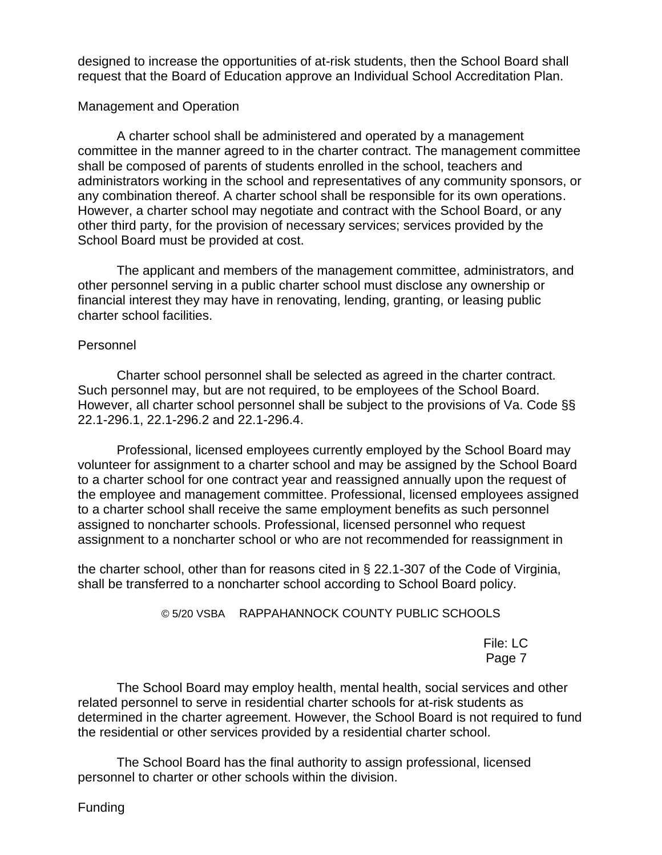designed to increase the opportunities of at-risk students, then the School Board shall request that the Board of Education approve an Individual School Accreditation Plan.

### Management and Operation

A charter school shall be administered and operated by a management committee in the manner agreed to in the charter contract. The management committee shall be composed of parents of students enrolled in the school, teachers and administrators working in the school and representatives of any community sponsors, or any combination thereof. A charter school shall be responsible for its own operations. However, a charter school may negotiate and contract with the School Board, or any other third party, for the provision of necessary services; services provided by the School Board must be provided at cost.

The applicant and members of the management committee, administrators, and other personnel serving in a public charter school must disclose any ownership or financial interest they may have in renovating, lending, granting, or leasing public charter school facilities.

### Personnel

Charter school personnel shall be selected as agreed in the charter contract. Such personnel may, but are not required, to be employees of the School Board. However, all charter school personnel shall be subject to the provisions of Va. Code §§ 22.1-296.1, 22.1-296.2 and 22.1-296.4.

Professional, licensed employees currently employed by the School Board may volunteer for assignment to a charter school and may be assigned by the School Board to a charter school for one contract year and reassigned annually upon the request of the employee and management committee. Professional, licensed employees assigned to a charter school shall receive the same employment benefits as such personnel assigned to noncharter schools. Professional, licensed personnel who request assignment to a noncharter school or who are not recommended for reassignment in

the charter school, other than for reasons cited in § 22.1-307 of the Code of Virginia, shall be transferred to a noncharter school according to School Board policy.

### © 5/20 VSBA RAPPAHANNOCK COUNTY PUBLIC SCHOOLS

File: LC Page 7

The School Board may employ health, mental health, social services and other related personnel to serve in residential charter schools for at-risk students as determined in the charter agreement. However, the School Board is not required to fund the residential or other services provided by a residential charter school.

The School Board has the final authority to assign professional, licensed personnel to charter or other schools within the division.

Funding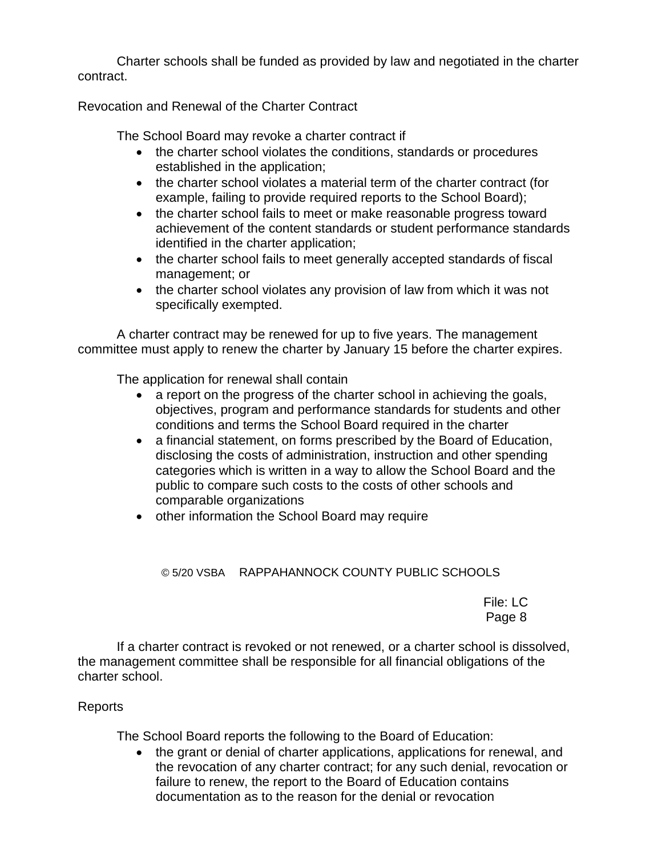Charter schools shall be funded as provided by law and negotiated in the charter contract.

Revocation and Renewal of the Charter Contract

The School Board may revoke a charter contract if

- the charter school violates the conditions, standards or procedures established in the application;
- the charter school violates a material term of the charter contract (for example, failing to provide required reports to the School Board);
- the charter school fails to meet or make reasonable progress toward achievement of the content standards or student performance standards identified in the charter application;
- the charter school fails to meet generally accepted standards of fiscal management; or
- the charter school violates any provision of law from which it was not specifically exempted.

A charter contract may be renewed for up to five years. The management committee must apply to renew the charter by January 15 before the charter expires.

The application for renewal shall contain

- a report on the progress of the charter school in achieving the goals, objectives, program and performance standards for students and other conditions and terms the School Board required in the charter
- a financial statement, on forms prescribed by the Board of Education, disclosing the costs of administration, instruction and other spending categories which is written in a way to allow the School Board and the public to compare such costs to the costs of other schools and comparable organizations
- other information the School Board may require

© 5/20 VSBA RAPPAHANNOCK COUNTY PUBLIC SCHOOLS

File: LC Page 8

If a charter contract is revoked or not renewed, or a charter school is dissolved, the management committee shall be responsible for all financial obligations of the charter school.

### Reports

The School Board reports the following to the Board of Education:

• the grant or denial of charter applications, applications for renewal, and the revocation of any charter contract; for any such denial, revocation or failure to renew, the report to the Board of Education contains documentation as to the reason for the denial or revocation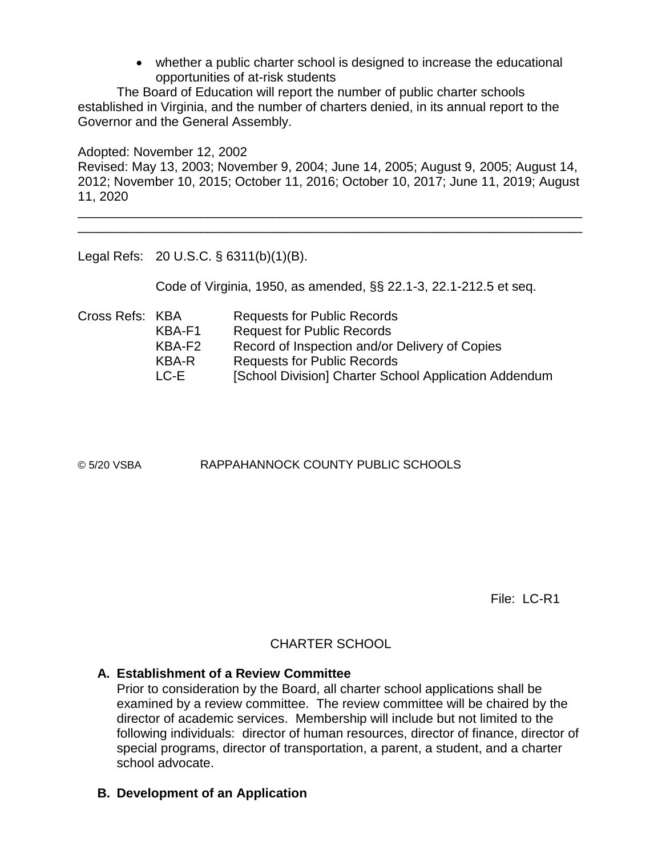whether a public charter school is designed to increase the educational opportunities of at-risk students

The Board of Education will report the number of public charter schools established in Virginia, and the number of charters denied, in its annual report to the Governor and the General Assembly.

Adopted: November 12, 2002 Revised: May 13, 2003; November 9, 2004; June 14, 2005; August 9, 2005; August 14, 2012; November 10, 2015; October 11, 2016; October 10, 2017; June 11, 2019; August 11, 2020

\_\_\_\_\_\_\_\_\_\_\_\_\_\_\_\_\_\_\_\_\_\_\_\_\_\_\_\_\_\_\_\_\_\_\_\_\_\_\_\_\_\_\_\_\_\_\_\_\_\_\_\_\_\_\_\_\_\_\_\_\_\_\_\_\_\_\_\_\_\_ \_\_\_\_\_\_\_\_\_\_\_\_\_\_\_\_\_\_\_\_\_\_\_\_\_\_\_\_\_\_\_\_\_\_\_\_\_\_\_\_\_\_\_\_\_\_\_\_\_\_\_\_\_\_\_\_\_\_\_\_\_\_\_\_\_\_\_\_\_\_

Legal Refs: 20 U.S.C. § 6311(b)(1)(B).

Code of Virginia, 1950, as amended, §§ 22.1-3, 22.1-212.5 et seq.

Cross Refs: KBA Requests for Public Records KBA-F1 Request for Public Records KBA-F2 Record of Inspection and/or Delivery of Copies KBA-R Requests for Public Records LC-E [School Division] Charter School Application Addendum

© 5/20 VSBA RAPPAHANNOCK COUNTY PUBLIC SCHOOLS

File: LC-R1

## CHARTER SCHOOL

### **A. Establishment of a Review Committee**

Prior to consideration by the Board, all charter school applications shall be examined by a review committee. The review committee will be chaired by the director of academic services. Membership will include but not limited to the following individuals: director of human resources, director of finance, director of special programs, director of transportation, a parent, a student, and a charter school advocate.

## **B. Development of an Application**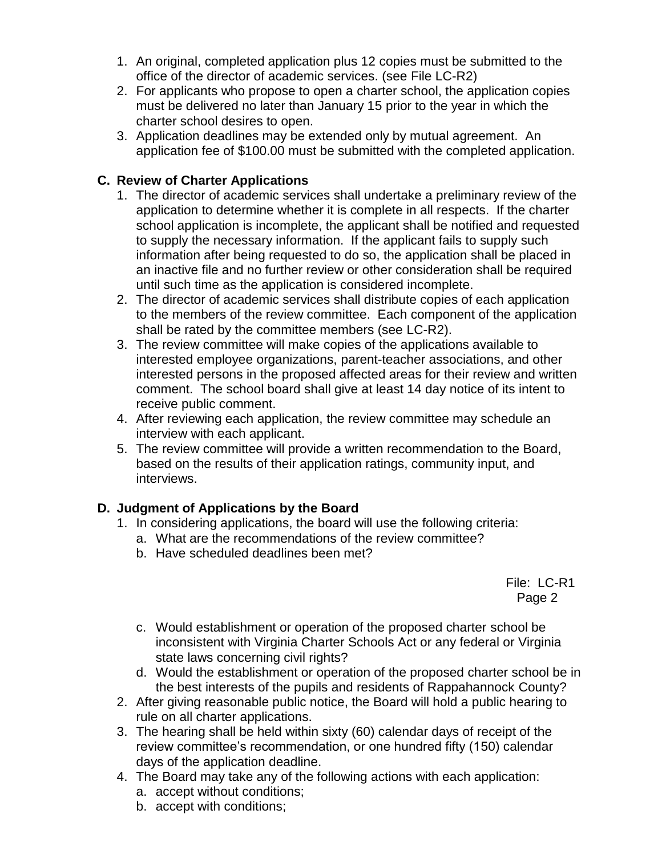- 1. An original, completed application plus 12 copies must be submitted to the office of the director of academic services. (see File LC-R2)
- 2. For applicants who propose to open a charter school, the application copies must be delivered no later than January 15 prior to the year in which the charter school desires to open.
- 3. Application deadlines may be extended only by mutual agreement. An application fee of \$100.00 must be submitted with the completed application.

## **C. Review of Charter Applications**

- 1. The director of academic services shall undertake a preliminary review of the application to determine whether it is complete in all respects. If the charter school application is incomplete, the applicant shall be notified and requested to supply the necessary information. If the applicant fails to supply such information after being requested to do so, the application shall be placed in an inactive file and no further review or other consideration shall be required until such time as the application is considered incomplete.
- 2. The director of academic services shall distribute copies of each application to the members of the review committee. Each component of the application shall be rated by the committee members (see LC-R2).
- 3. The review committee will make copies of the applications available to interested employee organizations, parent-teacher associations, and other interested persons in the proposed affected areas for their review and written comment. The school board shall give at least 14 day notice of its intent to receive public comment.
- 4. After reviewing each application, the review committee may schedule an interview with each applicant.
- 5. The review committee will provide a written recommendation to the Board, based on the results of their application ratings, community input, and interviews.

## **D. Judgment of Applications by the Board**

- 1. In considering applications, the board will use the following criteria:
	- a. What are the recommendations of the review committee?
	- b. Have scheduled deadlines been met?

File: LC-R1 Page 2

- c. Would establishment or operation of the proposed charter school be inconsistent with Virginia Charter Schools Act or any federal or Virginia state laws concerning civil rights?
- d. Would the establishment or operation of the proposed charter school be in the best interests of the pupils and residents of Rappahannock County?
- 2. After giving reasonable public notice, the Board will hold a public hearing to rule on all charter applications.
- 3. The hearing shall be held within sixty (60) calendar days of receipt of the review committee's recommendation, or one hundred fifty (150) calendar days of the application deadline.
- 4. The Board may take any of the following actions with each application:
	- a. accept without conditions;
	- b. accept with conditions;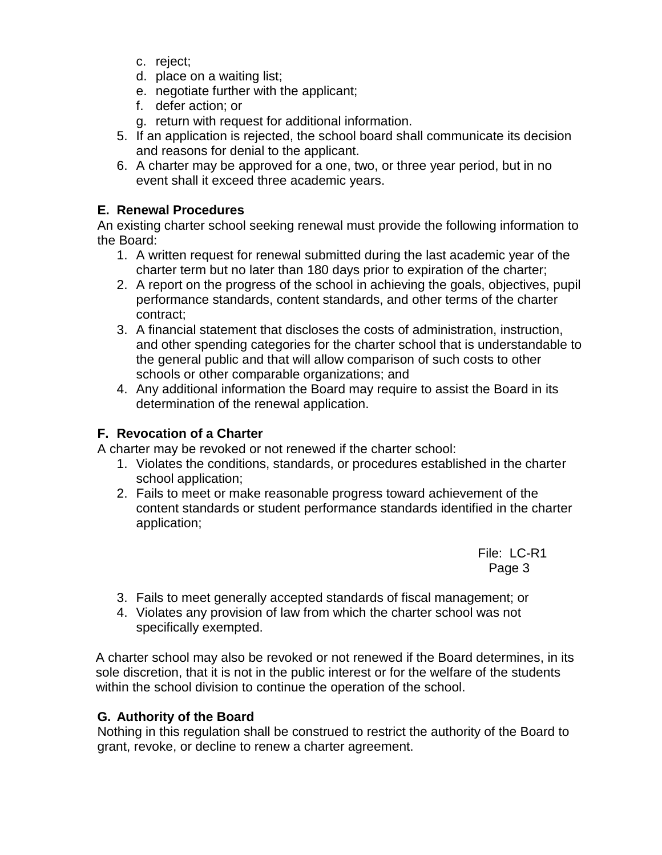- c. reject;
- d. place on a waiting list;
- e. negotiate further with the applicant;
- f. defer action; or
- g. return with request for additional information.
- 5. If an application is rejected, the school board shall communicate its decision and reasons for denial to the applicant.
- 6. A charter may be approved for a one, two, or three year period, but in no event shall it exceed three academic years.

## **E. Renewal Procedures**

An existing charter school seeking renewal must provide the following information to the Board:

- 1. A written request for renewal submitted during the last academic year of the charter term but no later than 180 days prior to expiration of the charter;
- 2. A report on the progress of the school in achieving the goals, objectives, pupil performance standards, content standards, and other terms of the charter contract;
- 3. A financial statement that discloses the costs of administration, instruction, and other spending categories for the charter school that is understandable to the general public and that will allow comparison of such costs to other schools or other comparable organizations; and
- 4. Any additional information the Board may require to assist the Board in its determination of the renewal application.

## **F. Revocation of a Charter**

A charter may be revoked or not renewed if the charter school:

- 1. Violates the conditions, standards, or procedures established in the charter school application;
- 2. Fails to meet or make reasonable progress toward achievement of the content standards or student performance standards identified in the charter application;

 File: LC-R1 Page 3 (1999) and the contract of the contract of the Page 3 (1999) and the contract of the contract of the contract of the contract of the contract of the contract of the contract of the contract of the contract of the co

- 3. Fails to meet generally accepted standards of fiscal management; or
- 4. Violates any provision of law from which the charter school was not specifically exempted.

A charter school may also be revoked or not renewed if the Board determines, in its sole discretion, that it is not in the public interest or for the welfare of the students within the school division to continue the operation of the school.

## **G. Authority of the Board**

Nothing in this regulation shall be construed to restrict the authority of the Board to grant, revoke, or decline to renew a charter agreement.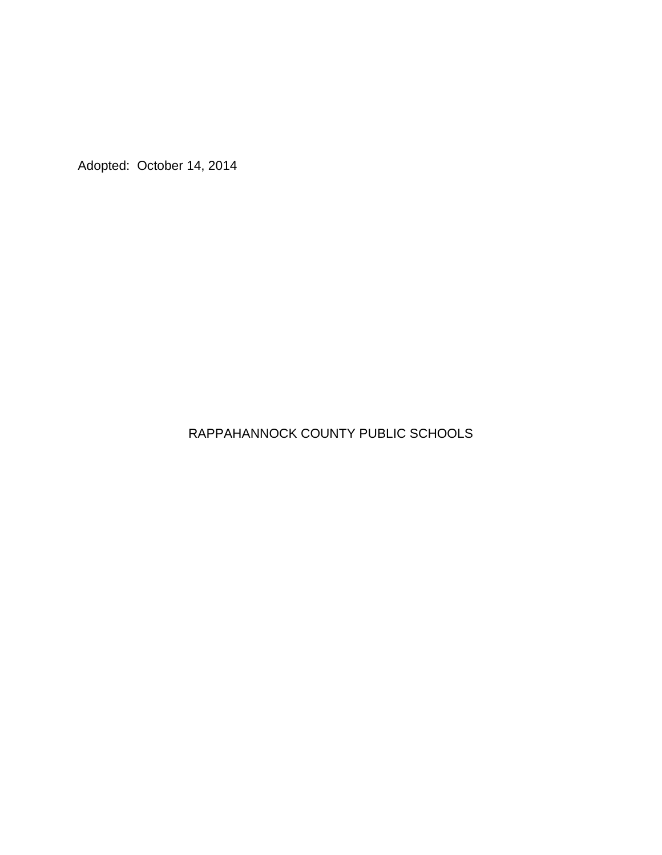Adopted: October 14, 2014

## RAPPAHANNOCK COUNTY PUBLIC SCHOOLS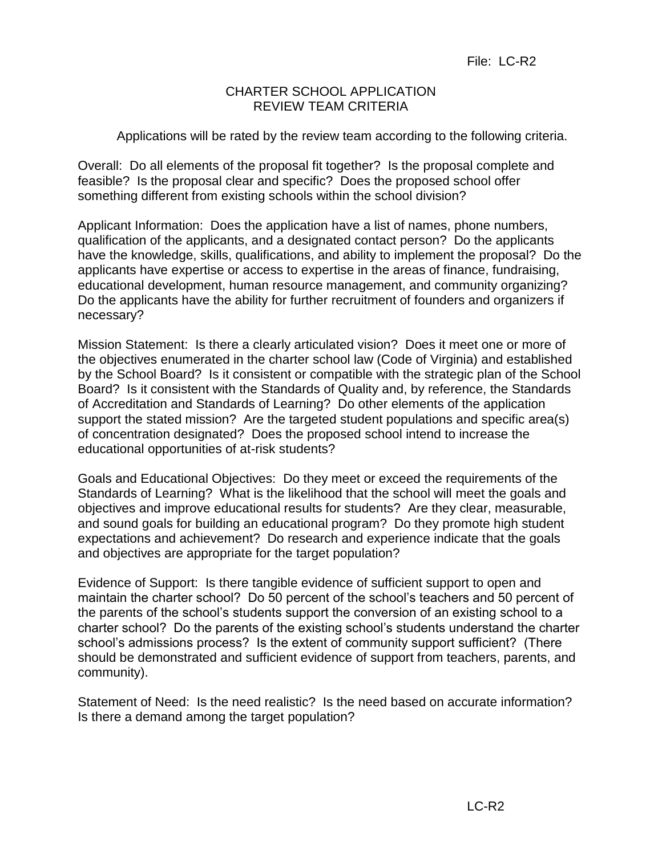## CHARTER SCHOOL APPLICATION REVIEW TEAM CRITERIA

Applications will be rated by the review team according to the following criteria.

Overall: Do all elements of the proposal fit together? Is the proposal complete and feasible? Is the proposal clear and specific? Does the proposed school offer something different from existing schools within the school division?

Applicant Information: Does the application have a list of names, phone numbers, qualification of the applicants, and a designated contact person? Do the applicants have the knowledge, skills, qualifications, and ability to implement the proposal? Do the applicants have expertise or access to expertise in the areas of finance, fundraising, educational development, human resource management, and community organizing? Do the applicants have the ability for further recruitment of founders and organizers if necessary?

Mission Statement: Is there a clearly articulated vision? Does it meet one or more of the objectives enumerated in the charter school law (Code of Virginia) and established by the School Board? Is it consistent or compatible with the strategic plan of the School Board? Is it consistent with the Standards of Quality and, by reference, the Standards of Accreditation and Standards of Learning? Do other elements of the application support the stated mission? Are the targeted student populations and specific area(s) of concentration designated? Does the proposed school intend to increase the educational opportunities of at-risk students?

Goals and Educational Objectives: Do they meet or exceed the requirements of the Standards of Learning? What is the likelihood that the school will meet the goals and objectives and improve educational results for students? Are they clear, measurable, and sound goals for building an educational program? Do they promote high student expectations and achievement? Do research and experience indicate that the goals and objectives are appropriate for the target population?

Evidence of Support: Is there tangible evidence of sufficient support to open and maintain the charter school? Do 50 percent of the school's teachers and 50 percent of the parents of the school's students support the conversion of an existing school to a charter school? Do the parents of the existing school's students understand the charter school's admissions process? Is the extent of community support sufficient? (There should be demonstrated and sufficient evidence of support from teachers, parents, and community).

Statement of Need: Is the need realistic? Is the need based on accurate information? Is there a demand among the target population?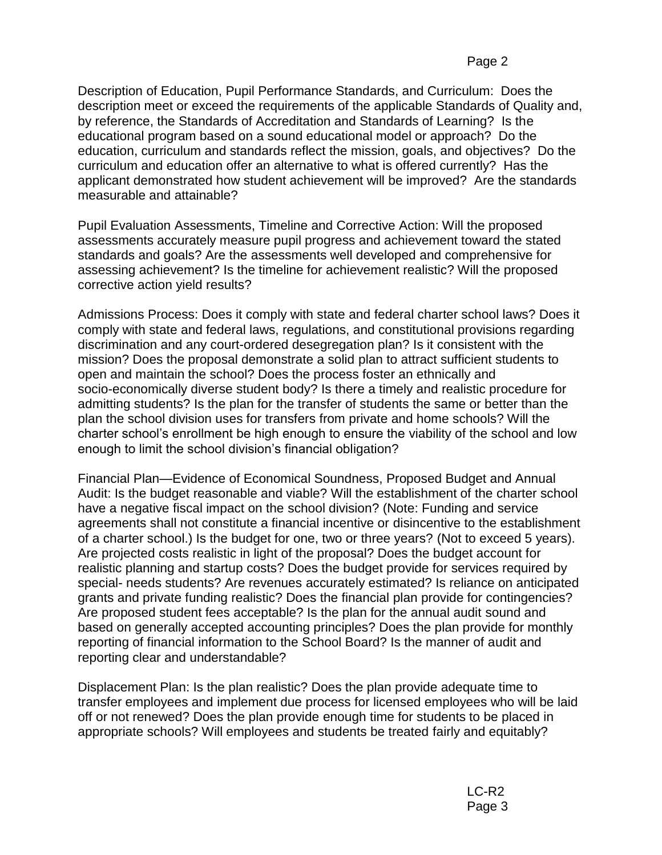Description of Education, Pupil Performance Standards, and Curriculum: Does the description meet or exceed the requirements of the applicable Standards of Quality and, by reference, the Standards of Accreditation and Standards of Learning? Is the educational program based on a sound educational model or approach? Do the education, curriculum and standards reflect the mission, goals, and objectives? Do the curriculum and education offer an alternative to what is offered currently? Has the applicant demonstrated how student achievement will be improved? Are the standards measurable and attainable?

Pupil Evaluation Assessments, Timeline and Corrective Action: Will the proposed assessments accurately measure pupil progress and achievement toward the stated standards and goals? Are the assessments well developed and comprehensive for assessing achievement? Is the timeline for achievement realistic? Will the proposed corrective action yield results?

Admissions Process: Does it comply with state and federal charter school laws? Does it comply with state and federal laws, regulations, and constitutional provisions regarding discrimination and any court-ordered desegregation plan? Is it consistent with the mission? Does the proposal demonstrate a solid plan to attract sufficient students to open and maintain the school? Does the process foster an ethnically and socio-economically diverse student body? Is there a timely and realistic procedure for admitting students? Is the plan for the transfer of students the same or better than the plan the school division uses for transfers from private and home schools? Will the charter school's enrollment be high enough to ensure the viability of the school and low enough to limit the school division's financial obligation?

Financial Plan—Evidence of Economical Soundness, Proposed Budget and Annual Audit: Is the budget reasonable and viable? Will the establishment of the charter school have a negative fiscal impact on the school division? (Note: Funding and service agreements shall not constitute a financial incentive or disincentive to the establishment of a charter school.) Is the budget for one, two or three years? (Not to exceed 5 years). Are projected costs realistic in light of the proposal? Does the budget account for realistic planning and startup costs? Does the budget provide for services required by special- needs students? Are revenues accurately estimated? Is reliance on anticipated grants and private funding realistic? Does the financial plan provide for contingencies? Are proposed student fees acceptable? Is the plan for the annual audit sound and based on generally accepted accounting principles? Does the plan provide for monthly reporting of financial information to the School Board? Is the manner of audit and reporting clear and understandable?

Displacement Plan: Is the plan realistic? Does the plan provide adequate time to transfer employees and implement due process for licensed employees who will be laid off or not renewed? Does the plan provide enough time for students to be placed in appropriate schools? Will employees and students be treated fairly and equitably?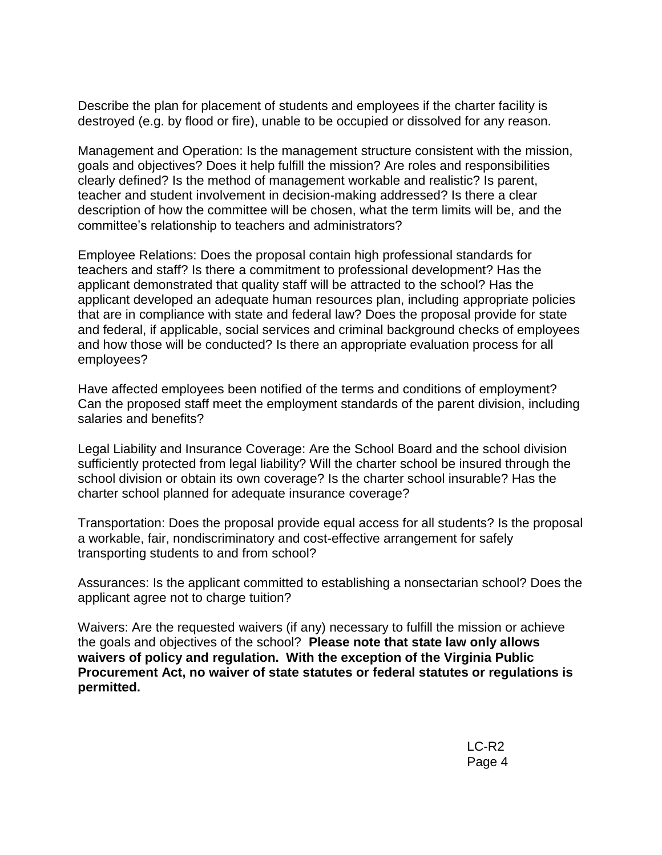Describe the plan for placement of students and employees if the charter facility is destroyed (e.g. by flood or fire), unable to be occupied or dissolved for any reason.

Management and Operation: Is the management structure consistent with the mission, goals and objectives? Does it help fulfill the mission? Are roles and responsibilities clearly defined? Is the method of management workable and realistic? Is parent, teacher and student involvement in decision-making addressed? Is there a clear description of how the committee will be chosen, what the term limits will be, and the committee's relationship to teachers and administrators?

Employee Relations: Does the proposal contain high professional standards for teachers and staff? Is there a commitment to professional development? Has the applicant demonstrated that quality staff will be attracted to the school? Has the applicant developed an adequate human resources plan, including appropriate policies that are in compliance with state and federal law? Does the proposal provide for state and federal, if applicable, social services and criminal background checks of employees and how those will be conducted? Is there an appropriate evaluation process for all employees?

Have affected employees been notified of the terms and conditions of employment? Can the proposed staff meet the employment standards of the parent division, including salaries and benefits?

Legal Liability and Insurance Coverage: Are the School Board and the school division sufficiently protected from legal liability? Will the charter school be insured through the school division or obtain its own coverage? Is the charter school insurable? Has the charter school planned for adequate insurance coverage?

Transportation: Does the proposal provide equal access for all students? Is the proposal a workable, fair, nondiscriminatory and cost-effective arrangement for safely transporting students to and from school?

Assurances: Is the applicant committed to establishing a nonsectarian school? Does the applicant agree not to charge tuition?

Waivers: Are the requested waivers (if any) necessary to fulfill the mission or achieve the goals and objectives of the school? **Please note that state law only allows waivers of policy and regulation. With the exception of the Virginia Public Procurement Act, no waiver of state statutes or federal statutes or regulations is permitted.**

> LC-R2 Page 4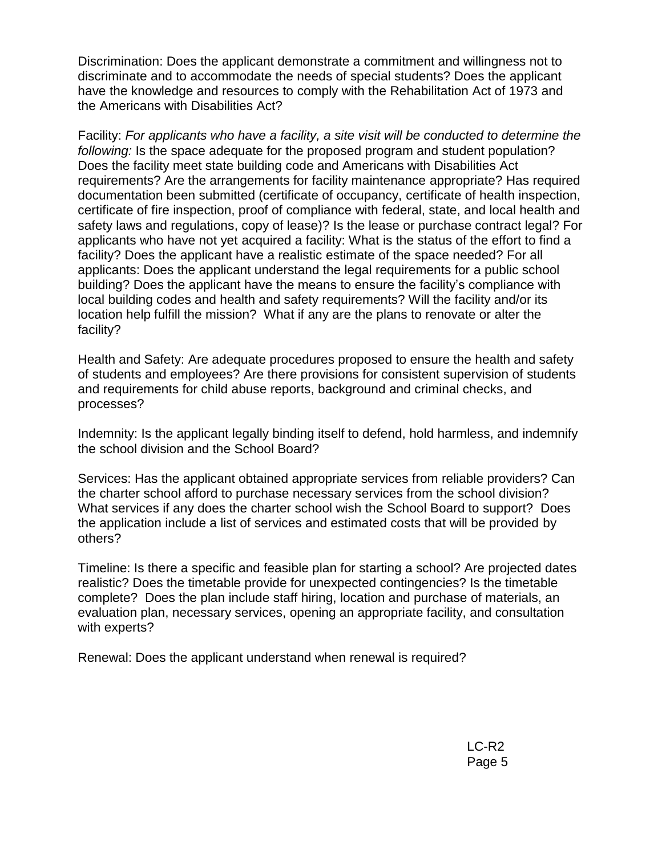Discrimination: Does the applicant demonstrate a commitment and willingness not to discriminate and to accommodate the needs of special students? Does the applicant have the knowledge and resources to comply with the Rehabilitation Act of 1973 and the Americans with Disabilities Act?

Facility: *For applicants who have a facility, a site visit will be conducted to determine the following:* Is the space adequate for the proposed program and student population? Does the facility meet state building code and Americans with Disabilities Act requirements? Are the arrangements for facility maintenance appropriate? Has required documentation been submitted (certificate of occupancy, certificate of health inspection, certificate of fire inspection, proof of compliance with federal, state, and local health and safety laws and regulations, copy of lease)? Is the lease or purchase contract legal? For applicants who have not yet acquired a facility: What is the status of the effort to find a facility? Does the applicant have a realistic estimate of the space needed? For all applicants: Does the applicant understand the legal requirements for a public school building? Does the applicant have the means to ensure the facility's compliance with local building codes and health and safety requirements? Will the facility and/or its location help fulfill the mission? What if any are the plans to renovate or alter the facility?

Health and Safety: Are adequate procedures proposed to ensure the health and safety of students and employees? Are there provisions for consistent supervision of students and requirements for child abuse reports, background and criminal checks, and processes?

Indemnity: Is the applicant legally binding itself to defend, hold harmless, and indemnify the school division and the School Board?

Services: Has the applicant obtained appropriate services from reliable providers? Can the charter school afford to purchase necessary services from the school division? What services if any does the charter school wish the School Board to support? Does the application include a list of services and estimated costs that will be provided by others?

Timeline: Is there a specific and feasible plan for starting a school? Are projected dates realistic? Does the timetable provide for unexpected contingencies? Is the timetable complete? Does the plan include staff hiring, location and purchase of materials, an evaluation plan, necessary services, opening an appropriate facility, and consultation with experts?

Renewal: Does the applicant understand when renewal is required?

LC-R2 Page 5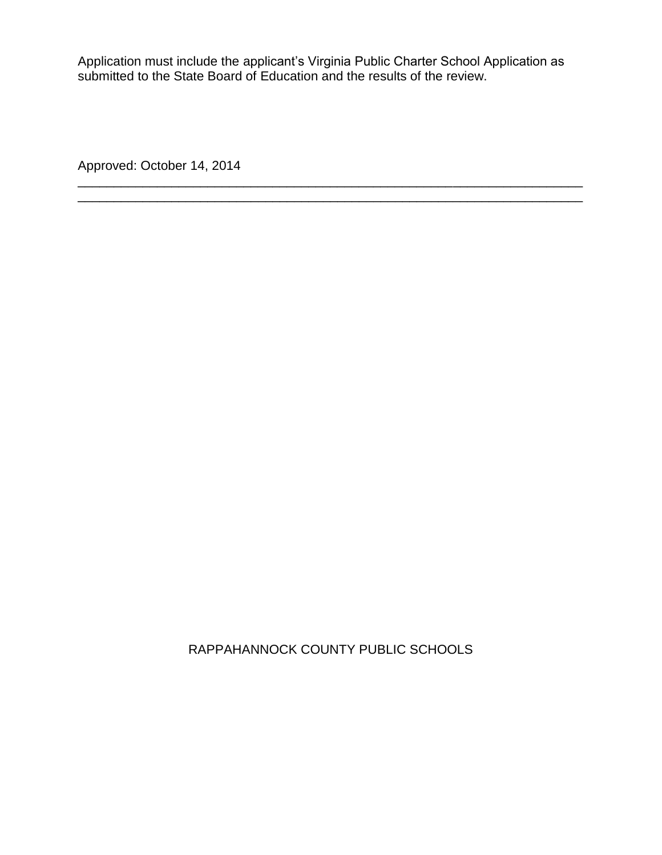Application must include the applicant's Virginia Public Charter School Application as submitted to the State Board of Education and the results of the review.

\_\_\_\_\_\_\_\_\_\_\_\_\_\_\_\_\_\_\_\_\_\_\_\_\_\_\_\_\_\_\_\_\_\_\_\_\_\_\_\_\_\_\_\_\_\_\_\_\_\_\_\_\_\_\_\_\_\_\_\_\_\_\_\_\_\_\_\_\_\_ \_\_\_\_\_\_\_\_\_\_\_\_\_\_\_\_\_\_\_\_\_\_\_\_\_\_\_\_\_\_\_\_\_\_\_\_\_\_\_\_\_\_\_\_\_\_\_\_\_\_\_\_\_\_\_\_\_\_\_\_\_\_\_\_\_\_\_\_\_\_

Approved: October 14, 2014

RAPPAHANNOCK COUNTY PUBLIC SCHOOLS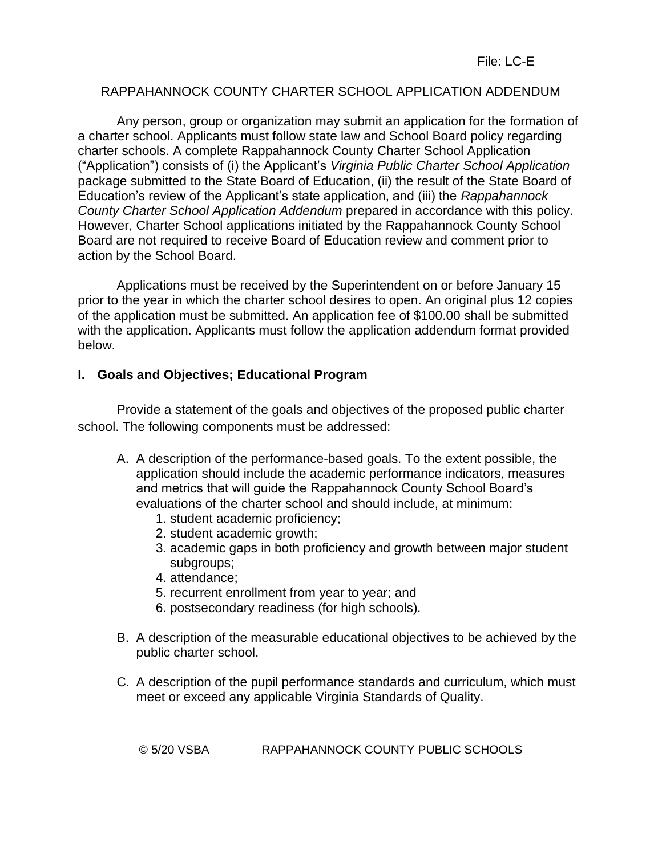## RAPPAHANNOCK COUNTY CHARTER SCHOOL APPLICATION ADDENDUM

Any person, group or organization may submit an application for the formation of a charter school. Applicants must follow state law and School Board policy regarding charter schools. A complete Rappahannock County Charter School Application ("Application") consists of (i) the Applicant's *Virginia Public Charter School Application* package submitted to the State Board of Education, (ii) the result of the State Board of Education's review of the Applicant's state application, and (iii) the *Rappahannock County Charter School Application Addendum* prepared in accordance with this policy. However, Charter School applications initiated by the Rappahannock County School Board are not required to receive Board of Education review and comment prior to action by the School Board.

Applications must be received by the Superintendent on or before January 15 prior to the year in which the charter school desires to open. An original plus 12 copies of the application must be submitted. An application fee of \$100.00 shall be submitted with the application. Applicants must follow the application addendum format provided below.

### **I. Goals and Objectives; Educational Program**

Provide a statement of the goals and objectives of the proposed public charter school. The following components must be addressed:

- A. A description of the performance-based goals. To the extent possible, the application should include the academic performance indicators, measures and metrics that will guide the Rappahannock County School Board's evaluations of the charter school and should include, at minimum:
	- 1. student academic proficiency;
	- 2. student academic growth;
	- 3. academic gaps in both proficiency and growth between major student subgroups;
	- 4. attendance;
	- 5. recurrent enrollment from year to year; and
	- 6. postsecondary readiness (for high schools).
- B. A description of the measurable educational objectives to be achieved by the public charter school.
- C. A description of the pupil performance standards and curriculum, which must meet or exceed any applicable Virginia Standards of Quality.

© 5/20 VSBA RAPPAHANNOCK COUNTY PUBLIC SCHOOLS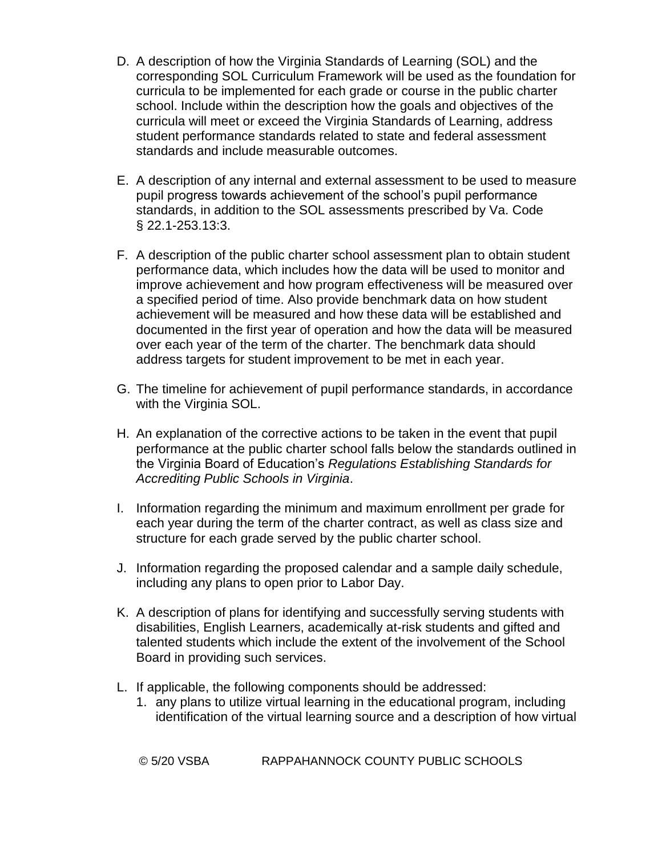- D. A description of how the Virginia Standards of Learning (SOL) and the corresponding SOL Curriculum Framework will be used as the foundation for curricula to be implemented for each grade or course in the public charter school. Include within the description how the goals and objectives of the curricula will meet or exceed the Virginia Standards of Learning, address student performance standards related to state and federal assessment standards and include measurable outcomes.
- E. A description of any internal and external assessment to be used to measure pupil progress towards achievement of the school's pupil performance standards, in addition to the SOL assessments prescribed by Va. Code § 22.1-253.13:3.
- F. A description of the public charter school assessment plan to obtain student performance data, which includes how the data will be used to monitor and improve achievement and how program effectiveness will be measured over a specified period of time. Also provide benchmark data on how student achievement will be measured and how these data will be established and documented in the first year of operation and how the data will be measured over each year of the term of the charter. The benchmark data should address targets for student improvement to be met in each year.
- G. The timeline for achievement of pupil performance standards, in accordance with the Virginia SOL.
- H. An explanation of the corrective actions to be taken in the event that pupil performance at the public charter school falls below the standards outlined in the Virginia Board of Education's *Regulations Establishing Standards for Accrediting Public Schools in Virginia*.
- I. Information regarding the minimum and maximum enrollment per grade for each year during the term of the charter contract, as well as class size and structure for each grade served by the public charter school.
- J. Information regarding the proposed calendar and a sample daily schedule, including any plans to open prior to Labor Day.
- K. A description of plans for identifying and successfully serving students with disabilities, English Learners, academically at-risk students and gifted and talented students which include the extent of the involvement of the School Board in providing such services.
- L. If applicable, the following components should be addressed:
	- 1. any plans to utilize virtual learning in the educational program, including identification of the virtual learning source and a description of how virtual

© 5/20 VSBA RAPPAHANNOCK COUNTY PUBLIC SCHOOLS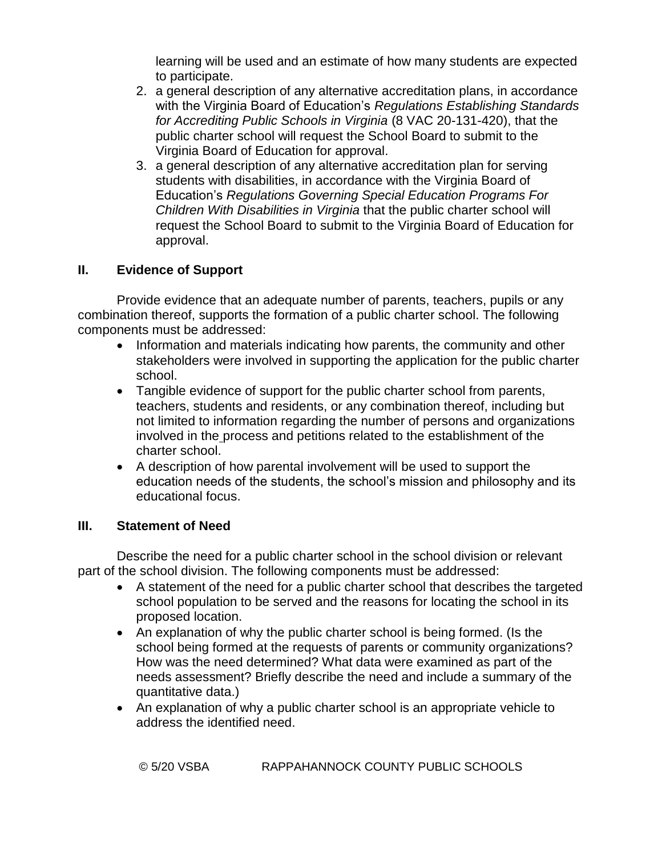learning will be used and an estimate of how many students are expected to participate.

- 2. a general description of any alternative accreditation plans, in accordance with the Virginia Board of Education's *Regulations Establishing Standards for Accrediting Public Schools in Virginia* (8 VAC 20-131-420), that the public charter school will request the School Board to submit to the Virginia Board of Education for approval.
- 3. a general description of any alternative accreditation plan for serving students with disabilities, in accordance with the Virginia Board of Education's *Regulations Governing Special Education Programs For Children With Disabilities in Virginia* that the public charter school will request the School Board to submit to the Virginia Board of Education for approval.

## **II. Evidence of Support**

Provide evidence that an adequate number of parents, teachers, pupils or any combination thereof, supports the formation of a public charter school. The following components must be addressed:

- Information and materials indicating how parents, the community and other stakeholders were involved in supporting the application for the public charter school.
- Tangible evidence of support for the public charter school from parents, teachers, students and residents, or any combination thereof, including but not limited to information regarding the number of persons and organizations involved in the process and petitions related to the establishment of the charter school.
- A description of how parental involvement will be used to support the education needs of the students, the school's mission and philosophy and its educational focus.

## **III. Statement of Need**

Describe the need for a public charter school in the school division or relevant part of the school division. The following components must be addressed:

- A statement of the need for a public charter school that describes the targeted school population to be served and the reasons for locating the school in its proposed location.
- An explanation of why the public charter school is being formed. (Is the school being formed at the requests of parents or community organizations? How was the need determined? What data were examined as part of the needs assessment? Briefly describe the need and include a summary of the quantitative data.)
- An explanation of why a public charter school is an appropriate vehicle to address the identified need.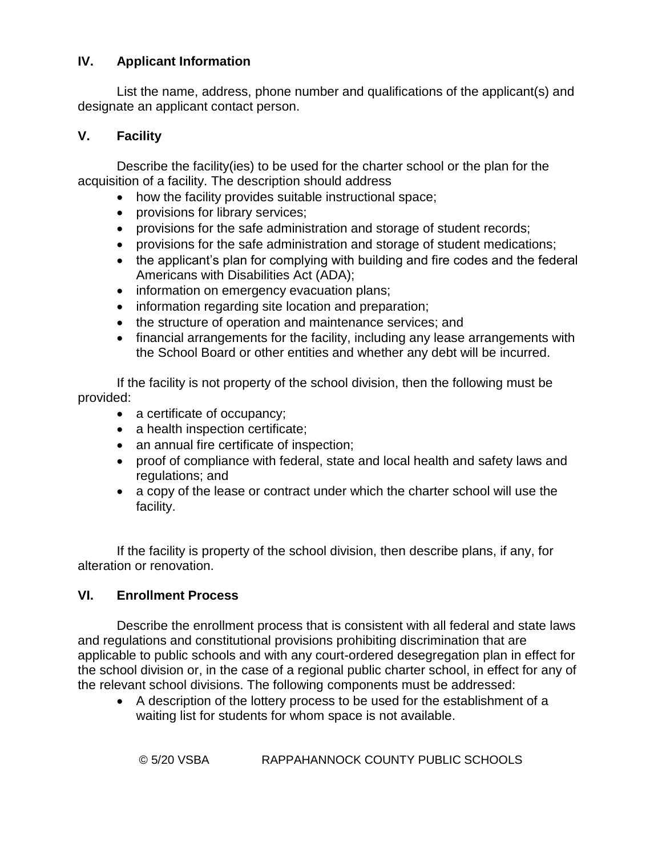## **IV. Applicant Information**

List the name, address, phone number and qualifications of the applicant(s) and designate an applicant contact person.

## **V. Facility**

Describe the facility(ies) to be used for the charter school or the plan for the acquisition of a facility. The description should address

- how the facility provides suitable instructional space;
- provisions for library services;
- provisions for the safe administration and storage of student records;
- provisions for the safe administration and storage of student medications;
- the applicant's plan for complying with building and fire codes and the federal Americans with Disabilities Act (ADA);
- information on emergency evacuation plans;
- information regarding site location and preparation;
- the structure of operation and maintenance services; and
- financial arrangements for the facility, including any lease arrangements with the School Board or other entities and whether any debt will be incurred.

If the facility is not property of the school division, then the following must be provided:

- a certificate of occupancy;
- a health inspection certificate;
- an annual fire certificate of inspection;
- proof of compliance with federal, state and local health and safety laws and regulations; and
- a copy of the lease or contract under which the charter school will use the facility.

If the facility is property of the school division, then describe plans, if any, for alteration or renovation.

## **VI. Enrollment Process**

Describe the enrollment process that is consistent with all federal and state laws and regulations and constitutional provisions prohibiting discrimination that are applicable to public schools and with any court-ordered desegregation plan in effect for the school division or, in the case of a regional public charter school, in effect for any of the relevant school divisions. The following components must be addressed:

 A description of the lottery process to be used for the establishment of a waiting list for students for whom space is not available.

© 5/20 VSBA RAPPAHANNOCK COUNTY PUBLIC SCHOOLS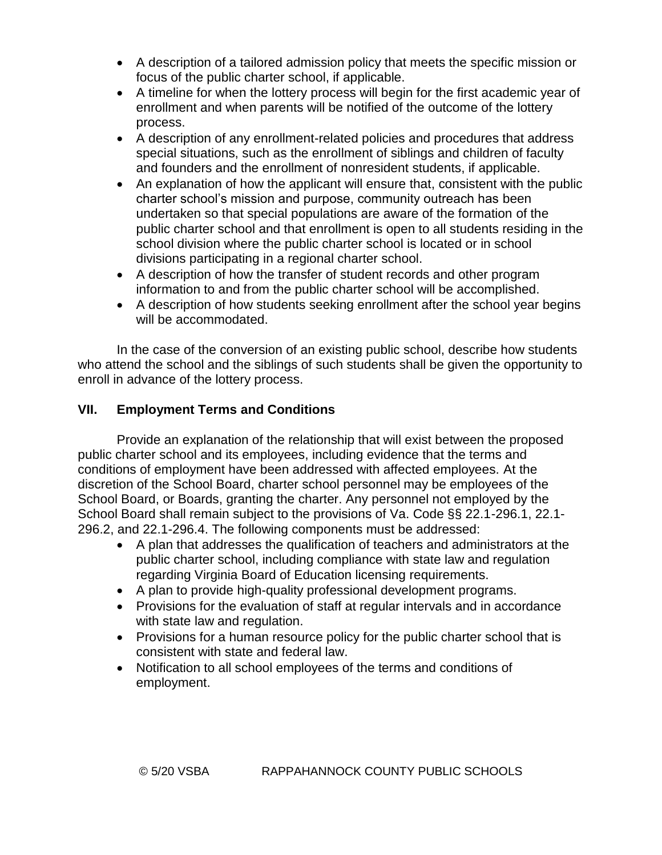- A description of a tailored admission policy that meets the specific mission or focus of the public charter school, if applicable.
- A timeline for when the lottery process will begin for the first academic year of enrollment and when parents will be notified of the outcome of the lottery process.
- A description of any enrollment-related policies and procedures that address special situations, such as the enrollment of siblings and children of faculty and founders and the enrollment of nonresident students, if applicable.
- An explanation of how the applicant will ensure that, consistent with the public charter school's mission and purpose, community outreach has been undertaken so that special populations are aware of the formation of the public charter school and that enrollment is open to all students residing in the school division where the public charter school is located or in school divisions participating in a regional charter school.
- A description of how the transfer of student records and other program information to and from the public charter school will be accomplished.
- A description of how students seeking enrollment after the school year begins will be accommodated.

In the case of the conversion of an existing public school, describe how students who attend the school and the siblings of such students shall be given the opportunity to enroll in advance of the lottery process.

## **VII. Employment Terms and Conditions**

Provide an explanation of the relationship that will exist between the proposed public charter school and its employees, including evidence that the terms and conditions of employment have been addressed with affected employees. At the discretion of the School Board, charter school personnel may be employees of the School Board, or Boards, granting the charter. Any personnel not employed by the School Board shall remain subject to the provisions of Va. Code §§ 22.1-296.1, 22.1- 296.2, and 22.1-296.4. The following components must be addressed:

- A plan that addresses the qualification of teachers and administrators at the public charter school, including compliance with state law and regulation regarding Virginia Board of Education licensing requirements.
- A plan to provide high-quality professional development programs.
- Provisions for the evaluation of staff at regular intervals and in accordance with state law and regulation.
- Provisions for a human resource policy for the public charter school that is consistent with state and federal law.
- Notification to all school employees of the terms and conditions of employment.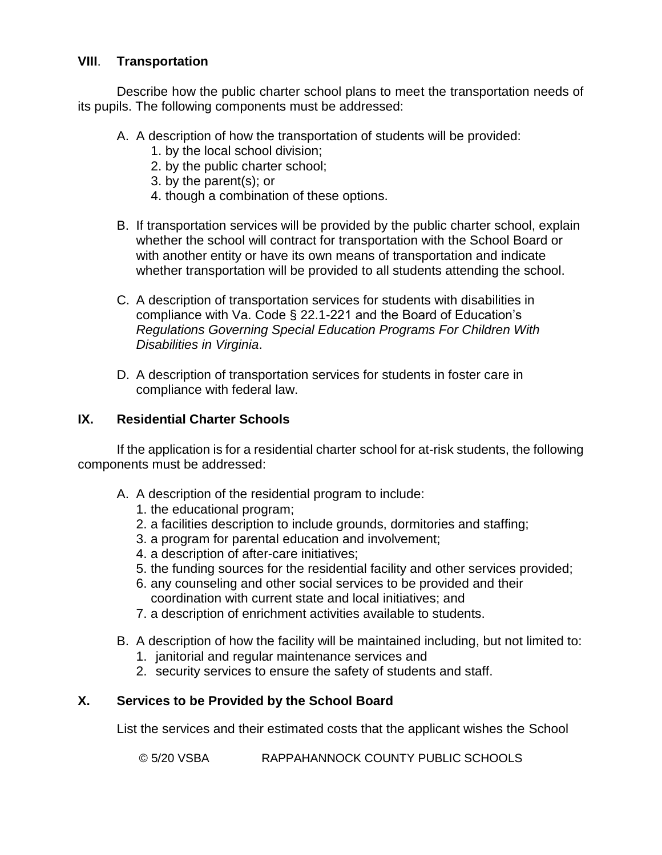## **VIII**. **Transportation**

Describe how the public charter school plans to meet the transportation needs of its pupils. The following components must be addressed:

- A. A description of how the transportation of students will be provided:
	- 1. by the local school division;
	- 2. by the public charter school;
	- 3. by the parent(s); or
	- 4. though a combination of these options.
- B. If transportation services will be provided by the public charter school, explain whether the school will contract for transportation with the School Board or with another entity or have its own means of transportation and indicate whether transportation will be provided to all students attending the school.
- C. A description of transportation services for students with disabilities in compliance with Va. Code § 22.1-221 and the Board of Education's *Regulations Governing Special Education Programs For Children With Disabilities in Virginia*.
- D. A description of transportation services for students in foster care in compliance with federal law.

### **IX. Residential Charter Schools**

If the application is for a residential charter school for at-risk students, the following components must be addressed:

- A. A description of the residential program to include:
	- 1. the educational program;
	- 2. a facilities description to include grounds, dormitories and staffing;
	- 3. a program for parental education and involvement;
	- 4. a description of after-care initiatives;
	- 5. the funding sources for the residential facility and other services provided;
	- 6. any counseling and other social services to be provided and their coordination with current state and local initiatives; and
	- 7. a description of enrichment activities available to students.
- B. A description of how the facility will be maintained including, but not limited to:
	- 1. janitorial and regular maintenance services and
	- 2. security services to ensure the safety of students and staff.

## **X. Services to be Provided by the School Board**

List the services and their estimated costs that the applicant wishes the School

© 5/20 VSBA RAPPAHANNOCK COUNTY PUBLIC SCHOOLS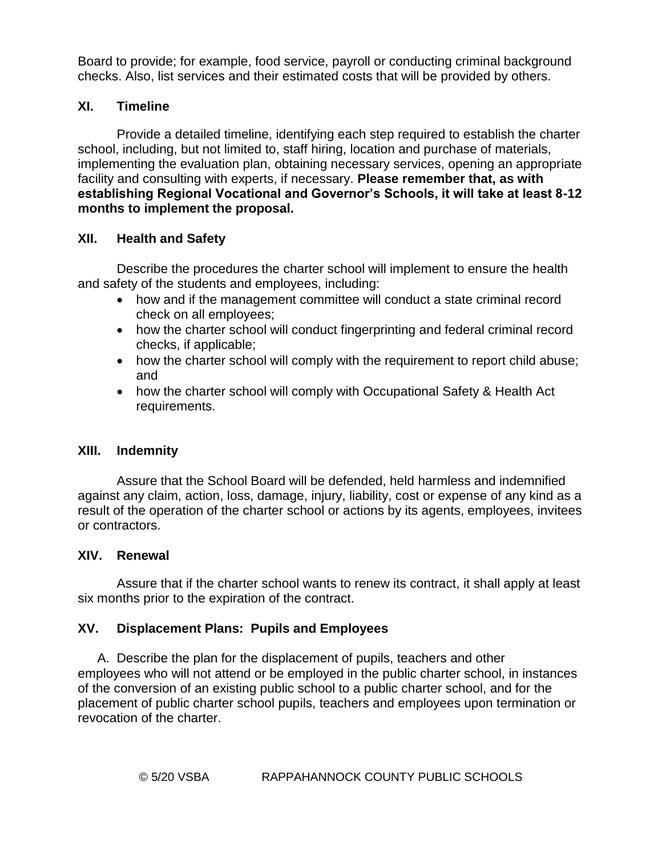Board to provide; for example, food service, payroll or conducting criminal background checks. Also, list services and their estimated costs that will be provided by others.

## **XI. Timeline**

Provide a detailed timeline, identifying each step required to establish the charter school, including, but not limited to, staff hiring, location and purchase of materials, implementing the evaluation plan, obtaining necessary services, opening an appropriate facility and consulting with experts, if necessary. **Please remember that, as with establishing Regional Vocational and Governor's Schools, it will take at least 8-12 months to implement the proposal.**

### **XII. Health and Safety**

Describe the procedures the charter school will implement to ensure the health and safety of the students and employees, including:

- how and if the management committee will conduct a state criminal record check on all employees;
- how the charter school will conduct fingerprinting and federal criminal record checks, if applicable;
- how the charter school will comply with the requirement to report child abuse; and
- how the charter school will comply with Occupational Safety & Health Act requirements.

### **XIII. Indemnity**

Assure that the School Board will be defended, held harmless and indemnified against any claim, action, loss, damage, injury, liability, cost or expense of any kind as a result of the operation of the charter school or actions by its agents, employees, invitees or contractors.

### **XIV. Renewal**

Assure that if the charter school wants to renew its contract, it shall apply at least six months prior to the expiration of the contract.

## **XV. Displacement Plans: Pupils and Employees**

A. Describe the plan for the displacement of pupils, teachers and other employees who will not attend or be employed in the public charter school, in instances of the conversion of an existing public school to a public charter school, and for the placement of public charter school pupils, teachers and employees upon termination or revocation of the charter.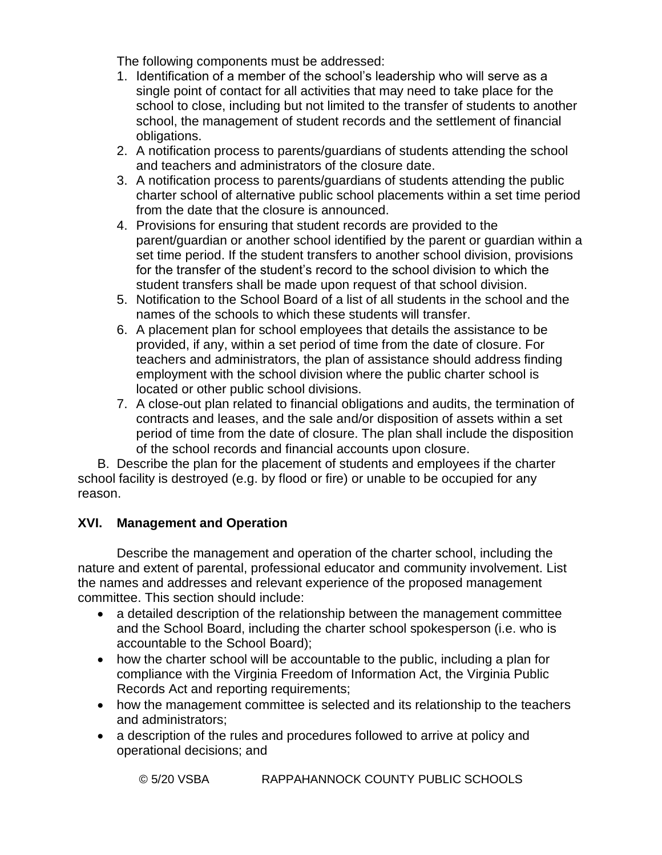The following components must be addressed:

- 1. Identification of a member of the school's leadership who will serve as a single point of contact for all activities that may need to take place for the school to close, including but not limited to the transfer of students to another school, the management of student records and the settlement of financial obligations.
- 2. A notification process to parents/guardians of students attending the school and teachers and administrators of the closure date.
- 3. A notification process to parents/guardians of students attending the public charter school of alternative public school placements within a set time period from the date that the closure is announced.
- 4. Provisions for ensuring that student records are provided to the parent/guardian or another school identified by the parent or guardian within a set time period. If the student transfers to another school division, provisions for the transfer of the student's record to the school division to which the student transfers shall be made upon request of that school division.
- 5. Notification to the School Board of a list of all students in the school and the names of the schools to which these students will transfer.
- 6. A placement plan for school employees that details the assistance to be provided, if any, within a set period of time from the date of closure. For teachers and administrators, the plan of assistance should address finding employment with the school division where the public charter school is located or other public school divisions.
- 7. A close-out plan related to financial obligations and audits, the termination of contracts and leases, and the sale and/or disposition of assets within a set period of time from the date of closure. The plan shall include the disposition of the school records and financial accounts upon closure.

B. Describe the plan for the placement of students and employees if the charter school facility is destroyed (e.g. by flood or fire) or unable to be occupied for any reason.

## **XVI. Management and Operation**

Describe the management and operation of the charter school, including the nature and extent of parental, professional educator and community involvement. List the names and addresses and relevant experience of the proposed management committee. This section should include:

- a detailed description of the relationship between the management committee and the School Board, including the charter school spokesperson (i.e. who is accountable to the School Board);
- how the charter school will be accountable to the public, including a plan for compliance with the Virginia Freedom of Information Act, the Virginia Public Records Act and reporting requirements;
- how the management committee is selected and its relationship to the teachers and administrators;
- a description of the rules and procedures followed to arrive at policy and operational decisions; and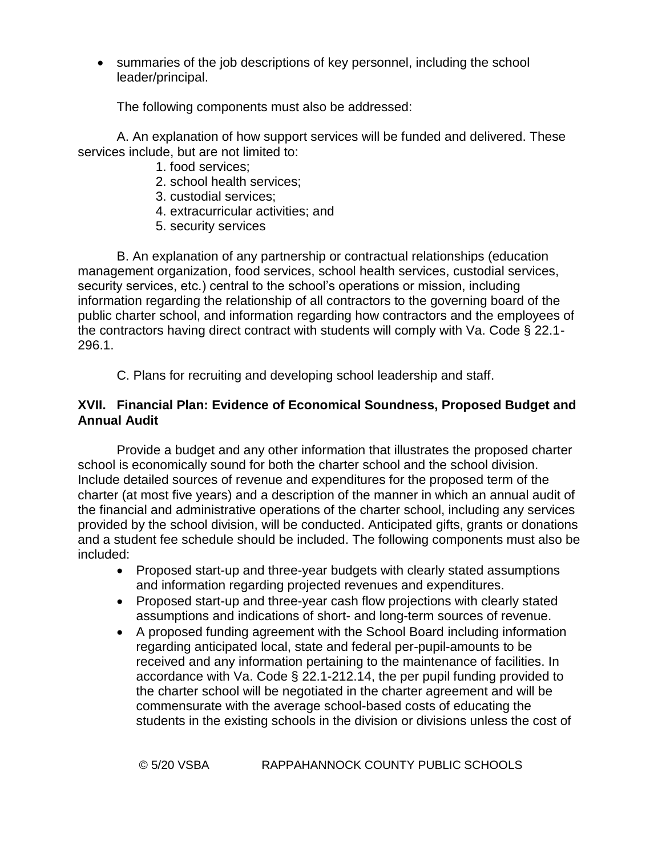summaries of the job descriptions of key personnel, including the school leader/principal.

The following components must also be addressed:

A. An explanation of how support services will be funded and delivered. These services include, but are not limited to:

- 1. food services;
- 2. school health services;
- 3. custodial services;
- 4. extracurricular activities; and
- 5. security services

B. An explanation of any partnership or contractual relationships (education management organization, food services, school health services, custodial services, security services, etc.) central to the school's operations or mission, including information regarding the relationship of all contractors to the governing board of the public charter school, and information regarding how contractors and the employees of the contractors having direct contract with students will comply with Va. Code § 22.1- 296.1.

C. Plans for recruiting and developing school leadership and staff.

## **XVII. Financial Plan: Evidence of Economical Soundness, Proposed Budget and Annual Audit**

Provide a budget and any other information that illustrates the proposed charter school is economically sound for both the charter school and the school division. Include detailed sources of revenue and expenditures for the proposed term of the charter (at most five years) and a description of the manner in which an annual audit of the financial and administrative operations of the charter school, including any services provided by the school division, will be conducted. Anticipated gifts, grants or donations and a student fee schedule should be included. The following components must also be included:

- Proposed start-up and three-year budgets with clearly stated assumptions and information regarding projected revenues and expenditures.
- Proposed start-up and three-year cash flow projections with clearly stated assumptions and indications of short- and long-term sources of revenue.
- A proposed funding agreement with the School Board including information regarding anticipated local, state and federal per-pupil-amounts to be received and any information pertaining to the maintenance of facilities. In accordance with Va. Code § 22.1-212.14, the per pupil funding provided to the charter school will be negotiated in the charter agreement and will be commensurate with the average school-based costs of educating the students in the existing schools in the division or divisions unless the cost of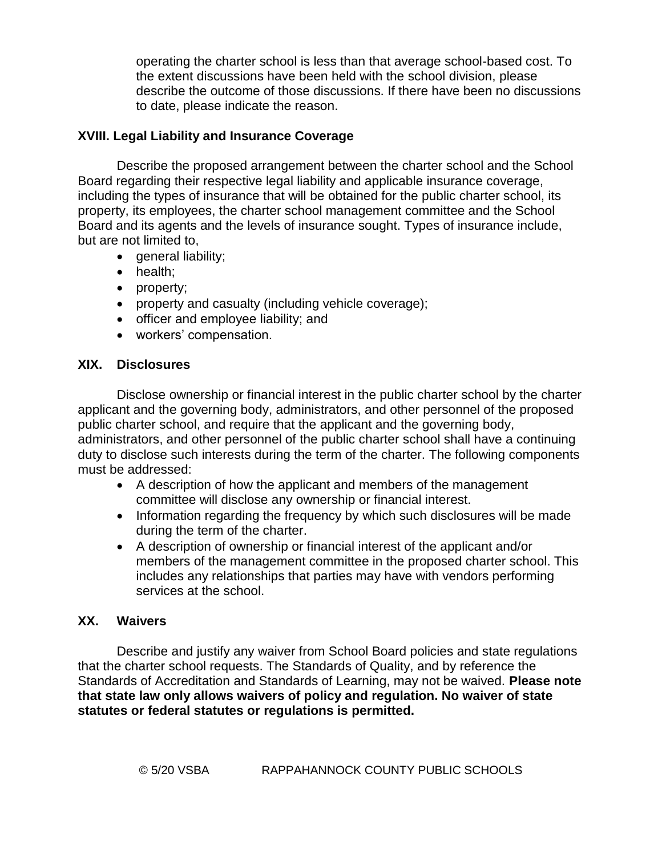operating the charter school is less than that average school-based cost. To the extent discussions have been held with the school division, please describe the outcome of those discussions. If there have been no discussions to date, please indicate the reason.

## **XVIII. Legal Liability and Insurance Coverage**

Describe the proposed arrangement between the charter school and the School Board regarding their respective legal liability and applicable insurance coverage, including the types of insurance that will be obtained for the public charter school, its property, its employees, the charter school management committee and the School Board and its agents and the levels of insurance sought. Types of insurance include, but are not limited to,

- general liability:
- health;
- property;
- property and casualty (including vehicle coverage);
- officer and employee liability; and
- workers' compensation.

### **XIX. Disclosures**

Disclose ownership or financial interest in the public charter school by the charter applicant and the governing body, administrators, and other personnel of the proposed public charter school, and require that the applicant and the governing body, administrators, and other personnel of the public charter school shall have a continuing duty to disclose such interests during the term of the charter. The following components must be addressed:

- A description of how the applicant and members of the management committee will disclose any ownership or financial interest.
- Information regarding the frequency by which such disclosures will be made during the term of the charter.
- A description of ownership or financial interest of the applicant and/or members of the management committee in the proposed charter school. This includes any relationships that parties may have with vendors performing services at the school.

### **XX. Waivers**

Describe and justify any waiver from School Board policies and state regulations that the charter school requests. The Standards of Quality, and by reference the Standards of Accreditation and Standards of Learning, may not be waived. **Please note that state law only allows waivers of policy and regulation. No waiver of state statutes or federal statutes or regulations is permitted.**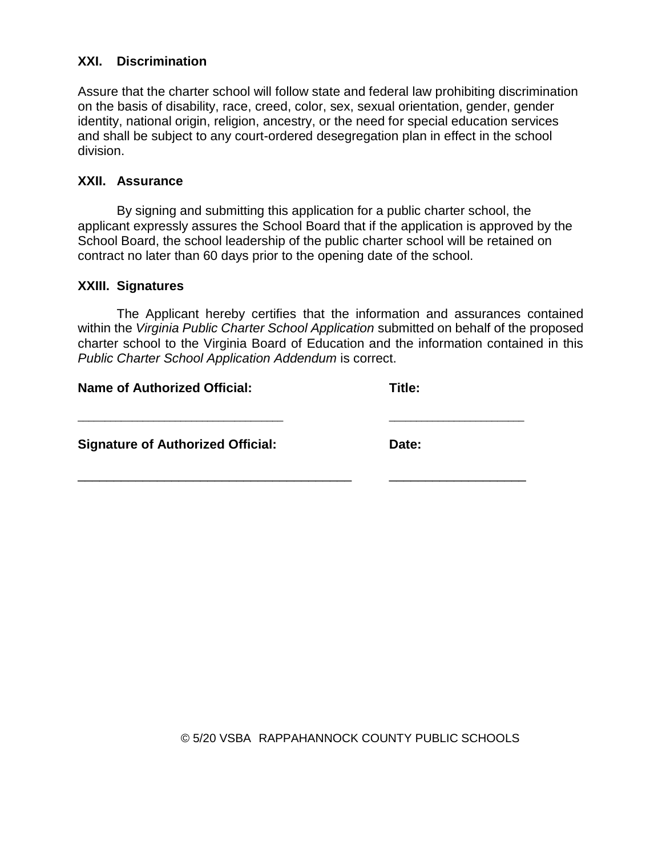### **XXI. Discrimination**

Assure that the charter school will follow state and federal law prohibiting discrimination on the basis of disability, race, creed, color, sex, sexual orientation, gender, gender identity, national origin, religion, ancestry, or the need for special education services and shall be subject to any court-ordered desegregation plan in effect in the school division.

### **XXII. Assurance**

By signing and submitting this application for a public charter school, the applicant expressly assures the School Board that if the application is approved by the School Board, the school leadership of the public charter school will be retained on contract no later than 60 days prior to the opening date of the school.

### **XXIII. Signatures**

The Applicant hereby certifies that the information and assurances contained within the *Virginia Public Charter School Application* submitted on behalf of the proposed charter school to the Virginia Board of Education and the information contained in this *Public Charter School Application Addendum* is correct.

\_\_\_\_\_\_\_\_\_\_\_\_\_\_\_\_\_\_\_\_\_\_\_\_\_\_\_\_\_\_\_\_\_\_\_\_\_\_ \_\_\_\_\_\_\_\_\_\_\_\_\_\_\_\_\_\_\_\_\_\_\_\_\_

\_\_\_\_\_\_\_\_\_\_\_\_\_\_\_\_\_\_\_\_\_\_\_\_\_\_\_\_\_\_\_\_\_\_\_\_\_\_ \_\_\_\_\_\_\_\_\_\_\_\_\_\_\_\_\_\_\_

### **Name of Authorized Official:** Title:

**Signature of Authorized Official:** Date:

© 5/20 VSBA RAPPAHANNOCK COUNTY PUBLIC SCHOOLS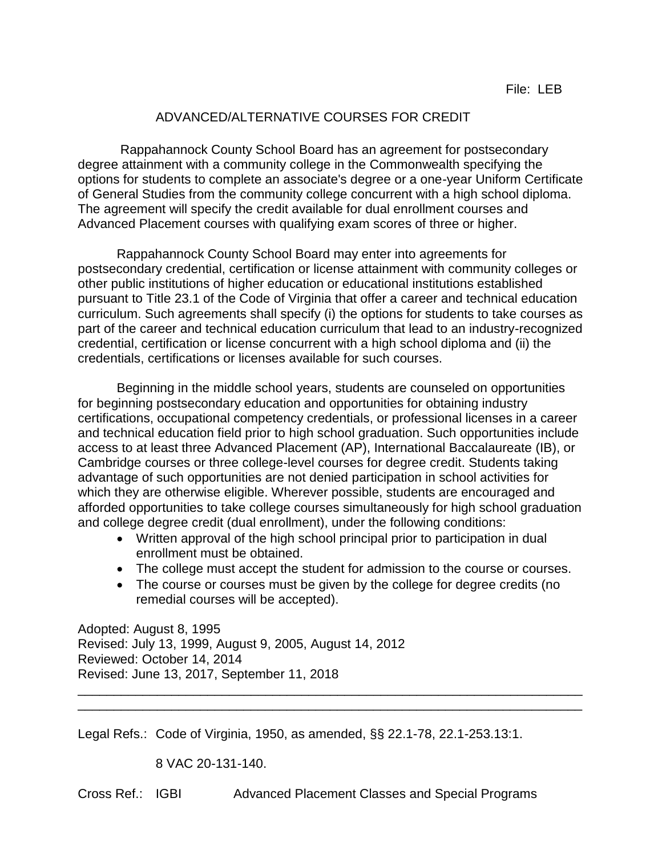## ADVANCED/ALTERNATIVE COURSES FOR CREDIT

Rappahannock County School Board has an agreement for postsecondary degree attainment with a community college in the Commonwealth specifying the options for students to complete an associate's degree or a one-year Uniform Certificate of General Studies from the community college concurrent with a high school diploma. The agreement will specify the credit available for dual enrollment courses and Advanced Placement courses with qualifying exam scores of three or higher.

Rappahannock County School Board may enter into agreements for postsecondary credential, certification or license attainment with community colleges or other public institutions of higher education or educational institutions established pursuant to Title 23.1 of the Code of Virginia that offer a career and technical education curriculum. Such agreements shall specify (i) the options for students to take courses as part of the career and technical education curriculum that lead to an industry-recognized credential, certification or license concurrent with a high school diploma and (ii) the credentials, certifications or licenses available for such courses.

Beginning in the middle school years, students are counseled on opportunities for beginning postsecondary education and opportunities for obtaining industry certifications, occupational competency credentials, or professional licenses in a career and technical education field prior to high school graduation. Such opportunities include access to at least three Advanced Placement (AP), International Baccalaureate (IB), or Cambridge courses or three college-level courses for degree credit. Students taking advantage of such opportunities are not denied participation in school activities for which they are otherwise eligible. Wherever possible, students are encouraged and afforded opportunities to take college courses simultaneously for high school graduation and college degree credit (dual enrollment), under the following conditions:

- Written approval of the high school principal prior to participation in dual enrollment must be obtained.
- The college must accept the student for admission to the course or courses.
- The course or courses must be given by the college for degree credits (no remedial courses will be accepted).

\_\_\_\_\_\_\_\_\_\_\_\_\_\_\_\_\_\_\_\_\_\_\_\_\_\_\_\_\_\_\_\_\_\_\_\_\_\_\_\_\_\_\_\_\_\_\_\_\_\_\_\_\_\_\_\_\_\_\_\_\_\_\_\_\_\_\_\_\_\_ \_\_\_\_\_\_\_\_\_\_\_\_\_\_\_\_\_\_\_\_\_\_\_\_\_\_\_\_\_\_\_\_\_\_\_\_\_\_\_\_\_\_\_\_\_\_\_\_\_\_\_\_\_\_\_\_\_\_\_\_\_\_\_\_\_\_\_\_\_\_

Adopted: August 8, 1995 Revised: July 13, 1999, August 9, 2005, August 14, 2012 Reviewed: October 14, 2014 Revised: June 13, 2017, September 11, 2018

Legal Refs.: Code of Virginia, 1950, as amended, §§ 22.1-78, 22.1-253.13:1.

8 VAC 20-131-140.

Cross Ref.: IGBI Advanced Placement Classes and Special Programs